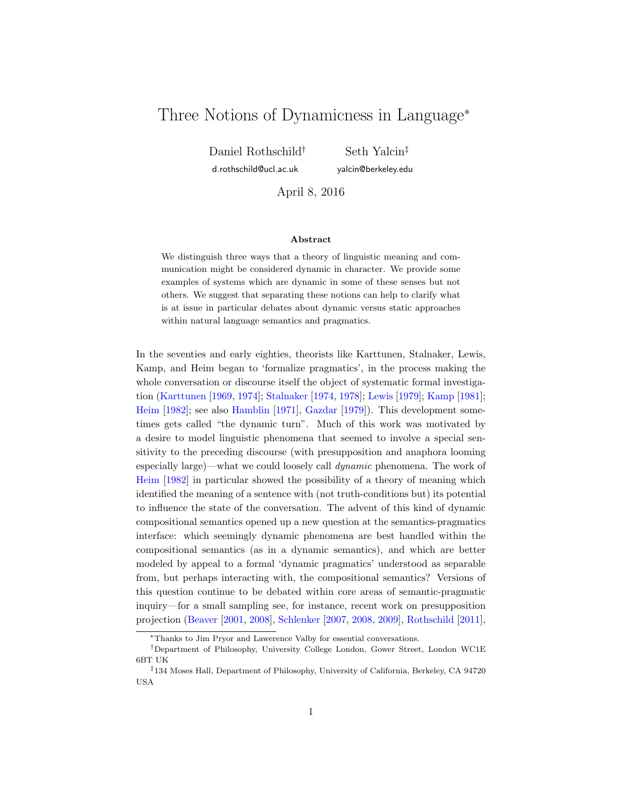# Three Notions of Dynamicness in Language<sup>∗</sup>

Daniel Rothschild† d.rothschild@ucl.ac.uk

Seth Yalcin‡ yalcin@berkeley.edu

April 8, 2016

#### Abstract

We distinguish three ways that a theory of linguistic meaning and communication might be considered dynamic in character. We provide some examples of systems which are dynamic in some of these senses but not others. We suggest that separating these notions can help to clarify what is at issue in particular debates about dynamic versus static approaches within natural language semantics and pragmatics.

In the seventies and early eighties, theorists like Karttunen, Stalnaker, Lewis, Kamp, and Heim began to 'formalize pragmatics', in the process making the whole conversation or discourse itself the object of systematic formal investigation [\(Karttunen](#page-26-0) [\[1969,](#page-26-0) [1974\]](#page-26-1); [Stalnaker](#page-27-0) [\[1974,](#page-27-0) [1978\]](#page-27-1); [Lewis](#page-26-2) [\[1979\]](#page-26-2); [Kamp](#page-25-0) [\[1981\]](#page-25-0); [Heim](#page-25-1) [\[1982\]](#page-25-1); see also [Hamblin](#page-25-2) [\[1971\]](#page-25-2), [Gazdar](#page-25-3) [\[1979\]](#page-25-3)). This development sometimes gets called "the dynamic turn". Much of this work was motivated by a desire to model linguistic phenomena that seemed to involve a special sensitivity to the preceding discourse (with presupposition and anaphora looming especially large)—what we could loosely call dynamic phenomena. The work of [Heim](#page-25-1) [\[1982\]](#page-25-1) in particular showed the possibility of a theory of meaning which identified the meaning of a sentence with (not truth-conditions but) its potential to influence the state of the conversation. The advent of this kind of dynamic compositional semantics opened up a new question at the semantics-pragmatics interface: which seemingly dynamic phenomena are best handled within the compositional semantics (as in a dynamic semantics), and which are better modeled by appeal to a formal 'dynamic pragmatics' understood as separable from, but perhaps interacting with, the compositional semantics? Versions of this question continue to be debated within core areas of semantic-pragmatic inquiry—for a small sampling see, for instance, recent work on presupposition projection [\(Beaver](#page-24-0) [\[2001,](#page-24-0) [2008\]](#page-24-1), [Schlenker](#page-27-2) [\[2007,](#page-27-2) [2008,](#page-27-3) [2009\]](#page-27-4), [Rothschild](#page-26-3) [\[2011\]](#page-26-3),

<sup>∗</sup>Thanks to Jim Pryor and Lawerence Valby for essential conversations.

<sup>†</sup>Department of Philosophy, University College London, Gower Street, London WC1E 6BT UK

<sup>‡</sup>134 Moses Hall, Department of Philosophy, University of California, Berkeley, CA 94720 USA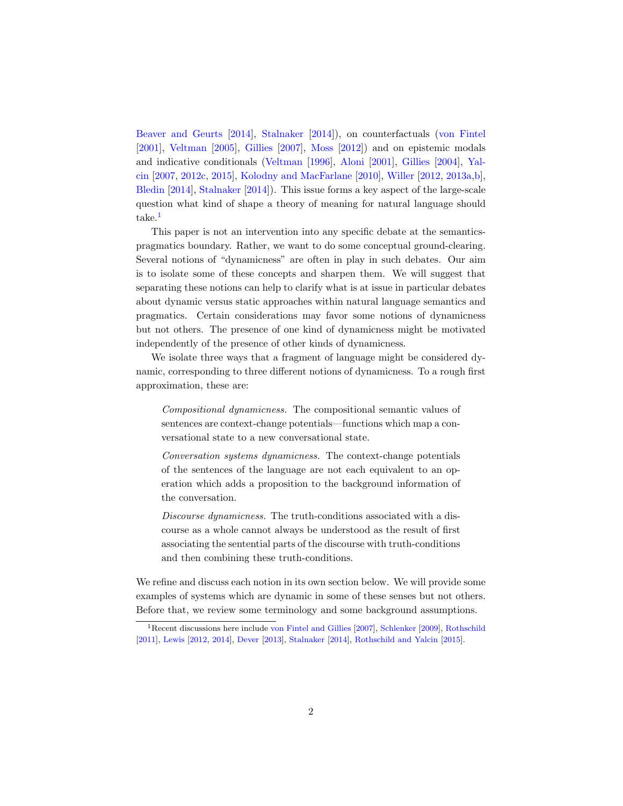[Beaver and Geurts](#page-24-2) [\[2014\]](#page-24-2), [Stalnaker](#page-27-5) [\[2014\]](#page-27-5)), on counterfactuals [\(von Fintel](#page-24-3) [\[2001\]](#page-24-3), [Veltman](#page-27-6) [\[2005\]](#page-27-6), [Gillies](#page-25-4) [\[2007\]](#page-25-4), [Moss](#page-26-4) [\[2012\]](#page-26-4)) and on epistemic modals and indicative conditionals [\(Veltman](#page-27-7) [\[1996\]](#page-27-7), [Aloni](#page-24-4) [\[2001\]](#page-24-4), [Gillies](#page-25-5) [\[2004\]](#page-25-5), [Yal](#page-28-0)[cin](#page-28-0) [\[2007,](#page-28-0) [2012c,](#page-28-1) [2015\]](#page-28-2), [Kolodny and MacFarlane](#page-26-5) [\[2010\]](#page-26-5), [Willer](#page-27-8) [\[2012,](#page-27-8) [2013a,](#page-27-9)[b\]](#page-27-10), [Bledin](#page-24-5) [\[2014\]](#page-24-5), [Stalnaker](#page-27-5) [\[2014\]](#page-27-5)). This issue forms a key aspect of the large-scale question what kind of shape a theory of meaning for natural language should take.<sup>[1](#page-1-0)</sup>

This paper is not an intervention into any specific debate at the semanticspragmatics boundary. Rather, we want to do some conceptual ground-clearing. Several notions of "dynamicness" are often in play in such debates. Our aim is to isolate some of these concepts and sharpen them. We will suggest that separating these notions can help to clarify what is at issue in particular debates about dynamic versus static approaches within natural language semantics and pragmatics. Certain considerations may favor some notions of dynamicness but not others. The presence of one kind of dynamicness might be motivated independently of the presence of other kinds of dynamicness.

We isolate three ways that a fragment of language might be considered dynamic, corresponding to three different notions of dynamicness. To a rough first approximation, these are:

Compositional dynamicness. The compositional semantic values of sentences are context-change potentials—functions which map a conversational state to a new conversational state.

Conversation systems dynamicness. The context-change potentials of the sentences of the language are not each equivalent to an operation which adds a proposition to the background information of the conversation.

Discourse dynamicness. The truth-conditions associated with a discourse as a whole cannot always be understood as the result of first associating the sentential parts of the discourse with truth-conditions and then combining these truth-conditions.

We refine and discuss each notion in its own section below. We will provide some examples of systems which are dynamic in some of these senses but not others. Before that, we review some terminology and some background assumptions.

<span id="page-1-0"></span><sup>1</sup>Recent discussions here include [von Fintel and Gillies](#page-25-6) [\[2007\]](#page-25-6), [Schlenker](#page-27-4) [\[2009\]](#page-27-4), [Rothschild](#page-26-3) [\[2011\]](#page-26-3), [Lewis](#page-26-6) [\[2012,](#page-26-6) [2014\]](#page-26-7), [Dever](#page-24-6) [\[2013\]](#page-24-6), [Stalnaker](#page-27-5) [\[2014\]](#page-27-5), [Rothschild and Yalcin](#page-26-8) [\[2015\]](#page-26-8).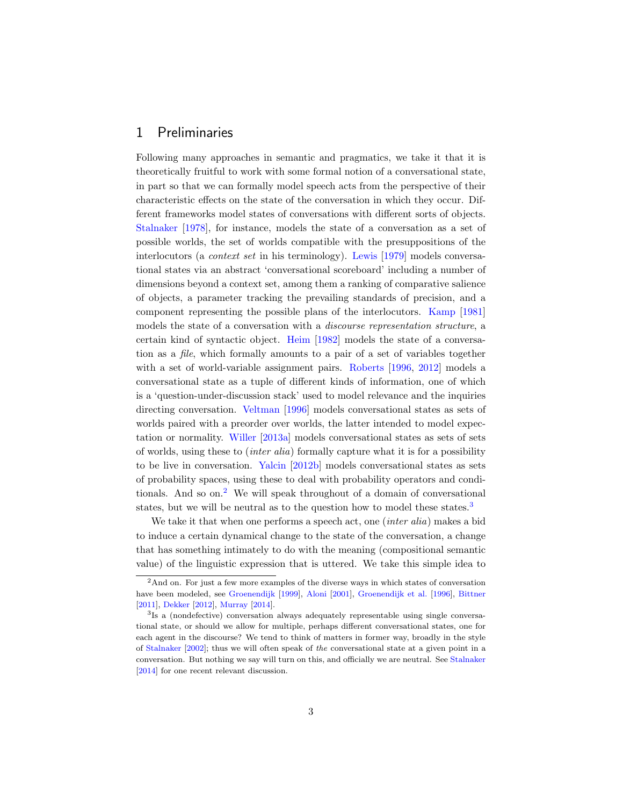#### 1 Preliminaries

Following many approaches in semantic and pragmatics, we take it that it is theoretically fruitful to work with some formal notion of a conversational state, in part so that we can formally model speech acts from the perspective of their characteristic effects on the state of the conversation in which they occur. Different frameworks model states of conversations with different sorts of objects. [Stalnaker](#page-27-1) [\[1978\]](#page-27-1), for instance, models the state of a conversation as a set of possible worlds, the set of worlds compatible with the presuppositions of the interlocutors (a context set in his terminology). [Lewis](#page-26-2) [\[1979\]](#page-26-2) models conversational states via an abstract 'conversational scoreboard' including a number of dimensions beyond a context set, among them a ranking of comparative salience of objects, a parameter tracking the prevailing standards of precision, and a component representing the possible plans of the interlocutors. [Kamp](#page-25-0) [\[1981\]](#page-25-0) models the state of a conversation with a discourse representation structure, a certain kind of syntactic object. [Heim](#page-25-1) [\[1982\]](#page-25-1) models the state of a conversation as a file, which formally amounts to a pair of a set of variables together with a set of world-variable assignment pairs. [Roberts](#page-26-9) [\[1996,](#page-26-9) [2012\]](#page-26-10) models a conversational state as a tuple of different kinds of information, one of which is a 'question-under-discussion stack' used to model relevance and the inquiries directing conversation. [Veltman](#page-27-7) [\[1996\]](#page-27-7) models conversational states as sets of worlds paired with a preorder over worlds, the latter intended to model expectation or normality. [Willer](#page-27-9) [\[2013a\]](#page-27-9) models conversational states as sets of sets of worlds, using these to (inter alia) formally capture what it is for a possibility to be live in conversation. [Yalcin](#page-28-3) [\[2012b\]](#page-28-3) models conversational states as sets of probability spaces, using these to deal with probability operators and condi-tionals. And so on.<sup>[2](#page-2-0)</sup> We will speak throughout of a domain of conversational states, but we will be neutral as to the question how to model these states.<sup>[3](#page-2-1)</sup>

We take it that when one performs a speech act, one *(inter alia)* makes a bid to induce a certain dynamical change to the state of the conversation, a change that has something intimately to do with the meaning (compositional semantic value) of the linguistic expression that is uttered. We take this simple idea to

<span id="page-2-0"></span><sup>&</sup>lt;sup>2</sup>And on. For just a few more examples of the diverse ways in which states of conversation have been modeled, see [Groenendijk](#page-25-7) [\[1999\]](#page-25-7), [Aloni](#page-24-4) [\[2001\]](#page-24-4), [Groenendijk et al.](#page-25-8) [\[1996\]](#page-25-8), [Bittner](#page-24-7) [\[2011\]](#page-24-7), [Dekker](#page-24-8) [\[2012\]](#page-24-8), [Murray](#page-26-11) [\[2014\]](#page-26-11).

<span id="page-2-1"></span><sup>&</sup>lt;sup>3</sup>Is a (nondefective) conversation always adequately representable using single conversational state, or should we allow for multiple, perhaps different conversational states, one for each agent in the discourse? We tend to think of matters in former way, broadly in the style of [Stalnaker](#page-27-11) [\[2002\]](#page-27-11); thus we will often speak of the conversational state at a given point in a conversation. But nothing we say will turn on this, and officially we are neutral. See [Stalnaker](#page-27-5) [\[2014\]](#page-27-5) for one recent relevant discussion.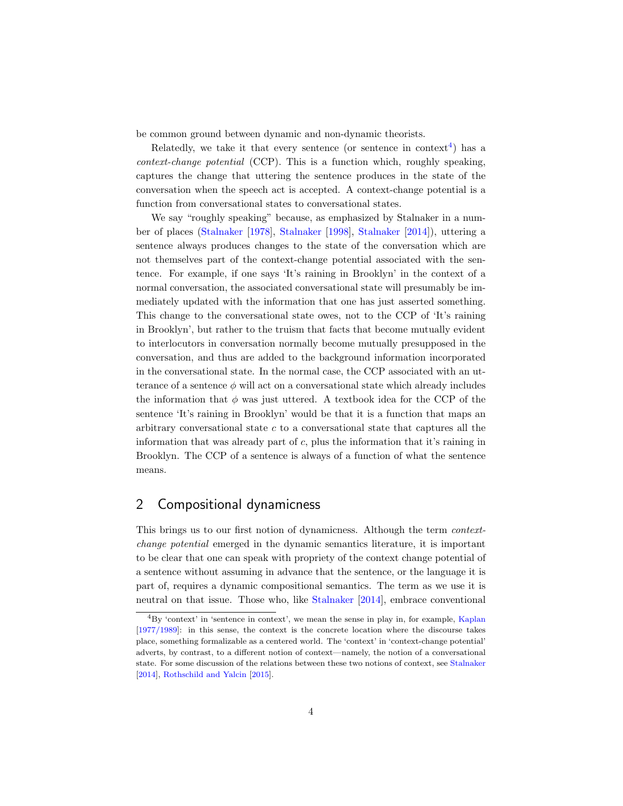be common ground between dynamic and non-dynamic theorists.

Relatedly, we take it that every sentence (or sentence in context<sup>[4](#page-3-0)</sup>) has a context-change potential (CCP). This is a function which, roughly speaking, captures the change that uttering the sentence produces in the state of the conversation when the speech act is accepted. A context-change potential is a function from conversational states to conversational states.

We say "roughly speaking" because, as emphasized by Stalnaker in a number of places [\(Stalnaker](#page-27-1) [\[1978\]](#page-27-1), [Stalnaker](#page-27-12) [\[1998\]](#page-27-12), [Stalnaker](#page-27-5) [\[2014\]](#page-27-5)), uttering a sentence always produces changes to the state of the conversation which are not themselves part of the context-change potential associated with the sentence. For example, if one says 'It's raining in Brooklyn' in the context of a normal conversation, the associated conversational state will presumably be immediately updated with the information that one has just asserted something. This change to the conversational state owes, not to the CCP of 'It's raining in Brooklyn', but rather to the truism that facts that become mutually evident to interlocutors in conversation normally become mutually presupposed in the conversation, and thus are added to the background information incorporated in the conversational state. In the normal case, the CCP associated with an utterance of a sentence  $\phi$  will act on a conversational state which already includes the information that  $\phi$  was just uttered. A textbook idea for the CCP of the sentence 'It's raining in Brooklyn' would be that it is a function that maps an arbitrary conversational state  $c$  to a conversational state that captures all the information that was already part of  $c$ , plus the information that it's raining in Brooklyn. The CCP of a sentence is always of a function of what the sentence means.

### 2 Compositional dynamicness

This brings us to our first notion of dynamicness. Although the term contextchange potential emerged in the dynamic semantics literature, it is important to be clear that one can speak with propriety of the context change potential of a sentence without assuming in advance that the sentence, or the language it is part of, requires a dynamic compositional semantics. The term as we use it is neutral on that issue. Those who, like [Stalnaker](#page-27-5) [\[2014\]](#page-27-5), embrace conventional

<span id="page-3-0"></span><sup>4</sup>By 'context' in 'sentence in context', we mean the sense in play in, for example, [Kaplan](#page-25-9) [\[1977/1989\]](#page-25-9): in this sense, the context is the concrete location where the discourse takes place, something formalizable as a centered world. The 'context' in 'context-change potential' adverts, by contrast, to a different notion of context—namely, the notion of a conversational state. For some discussion of the relations between these two notions of context, see [Stalnaker](#page-27-5) [\[2014\]](#page-27-5), [Rothschild and Yalcin](#page-26-8) [\[2015\]](#page-26-8).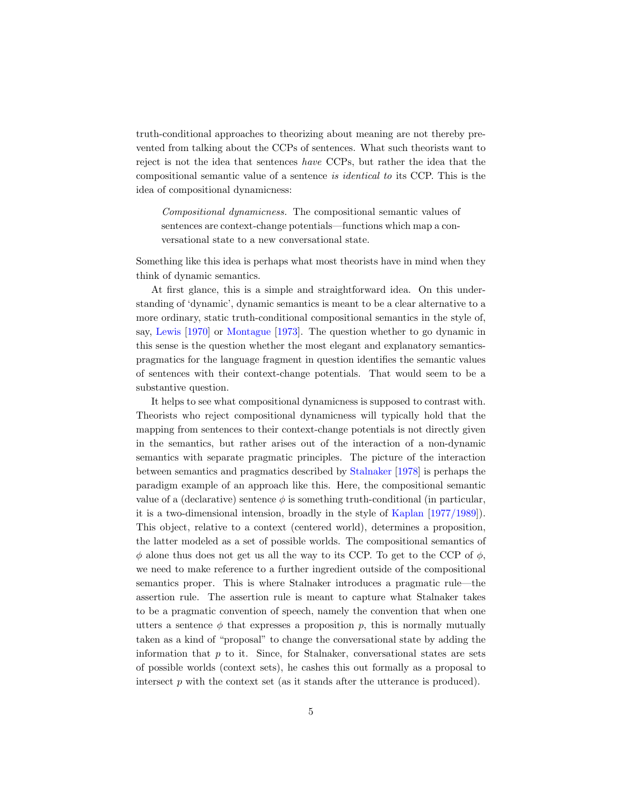truth-conditional approaches to theorizing about meaning are not thereby prevented from talking about the CCPs of sentences. What such theorists want to reject is not the idea that sentences have CCPs, but rather the idea that the compositional semantic value of a sentence is identical to its CCP. This is the idea of compositional dynamicness:

Compositional dynamicness. The compositional semantic values of sentences are context-change potentials—functions which map a conversational state to a new conversational state.

Something like this idea is perhaps what most theorists have in mind when they think of dynamic semantics.

At first glance, this is a simple and straightforward idea. On this understanding of 'dynamic', dynamic semantics is meant to be a clear alternative to a more ordinary, static truth-conditional compositional semantics in the style of, say, [Lewis](#page-26-12) [\[1970\]](#page-26-12) or [Montague](#page-26-13) [\[1973\]](#page-26-13). The question whether to go dynamic in this sense is the question whether the most elegant and explanatory semanticspragmatics for the language fragment in question identifies the semantic values of sentences with their context-change potentials. That would seem to be a substantive question.

It helps to see what compositional dynamicness is supposed to contrast with. Theorists who reject compositional dynamicness will typically hold that the mapping from sentences to their context-change potentials is not directly given in the semantics, but rather arises out of the interaction of a non-dynamic semantics with separate pragmatic principles. The picture of the interaction between semantics and pragmatics described by [Stalnaker](#page-27-1) [\[1978\]](#page-27-1) is perhaps the paradigm example of an approach like this. Here, the compositional semantic value of a (declarative) sentence  $\phi$  is something truth-conditional (in particular, it is a two-dimensional intension, broadly in the style of [Kaplan](#page-25-9) [\[1977/1989\]](#page-25-9)). This object, relative to a context (centered world), determines a proposition, the latter modeled as a set of possible worlds. The compositional semantics of  $\phi$  alone thus does not get us all the way to its CCP. To get to the CCP of  $\phi$ , we need to make reference to a further ingredient outside of the compositional semantics proper. This is where Stalnaker introduces a pragmatic rule—the assertion rule. The assertion rule is meant to capture what Stalnaker takes to be a pragmatic convention of speech, namely the convention that when one utters a sentence  $\phi$  that expresses a proposition p, this is normally mutually taken as a kind of "proposal" to change the conversational state by adding the information that  $p$  to it. Since, for Stalnaker, conversational states are sets of possible worlds (context sets), he cashes this out formally as a proposal to intersect  $p$  with the context set (as it stands after the utterance is produced).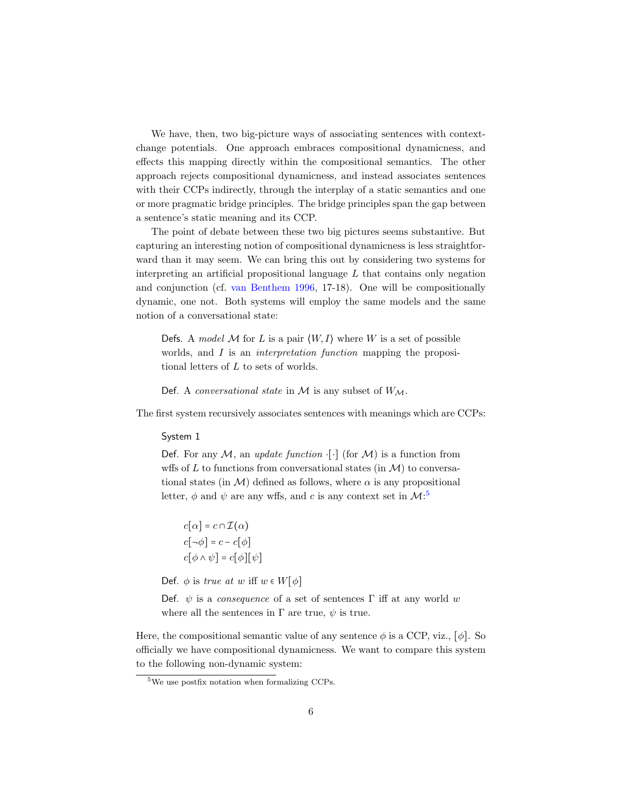We have, then, two big-picture ways of associating sentences with contextchange potentials. One approach embraces compositional dynamicness, and effects this mapping directly within the compositional semantics. The other approach rejects compositional dynamicness, and instead associates sentences with their CCPs indirectly, through the interplay of a static semantics and one or more pragmatic bridge principles. The bridge principles span the gap between a sentence's static meaning and its CCP.

The point of debate between these two big pictures seems substantive. But capturing an interesting notion of compositional dynamicness is less straightforward than it may seem. We can bring this out by considering two systems for interpreting an artificial propositional language  $L$  that contains only negation and conjunction (cf. [van Benthem](#page-27-13) [1996,](#page-27-13) 17-18). One will be compositionally dynamic, one not. Both systems will employ the same models and the same notion of a conversational state:

Defs. A model M for L is a pair  $\langle W, I \rangle$  where W is a set of possible worlds, and I is an *interpretation function* mapping the propositional letters of  $L$  to sets of worlds.

Def. A conversational state in  $M$  is any subset of  $W_M$ .

The first system recursively associates sentences with meanings which are CCPs:

#### System 1

Def. For any  $M$ , an *update function*  $\lceil \cdot \rceil$  (for  $M$ ) is a function from wffs of  $L$  to functions from conversational states (in  $\mathcal{M}$ ) to conversational states (in  $\mathcal{M}$ ) defined as follows, where  $\alpha$  is any propositional letter,  $\phi$  and  $\psi$  are any wffs, and c is any context set in  $\mathcal{M}$ :<sup>[5](#page-5-0)</sup>

$$
c[\alpha] = c \cap \mathcal{I}(\alpha)
$$

$$
c[\neg \phi] = c - c[\phi]
$$

$$
c[\phi \land \psi] = c[\phi][\psi]
$$

Def.  $\phi$  is *true at w* iff  $w \in W[\phi]$ 

Def.  $\psi$  is a *consequence* of a set of sentences Γ iff at any world w where all the sentences in  $\Gamma$  are true,  $\psi$  is true.

Here, the compositional semantic value of any sentence  $\phi$  is a CCP, viz., [ $\phi$ ]. So officially we have compositional dynamicness. We want to compare this system to the following non-dynamic system:

<span id="page-5-0"></span><sup>5</sup>We use postfix notation when formalizing CCPs.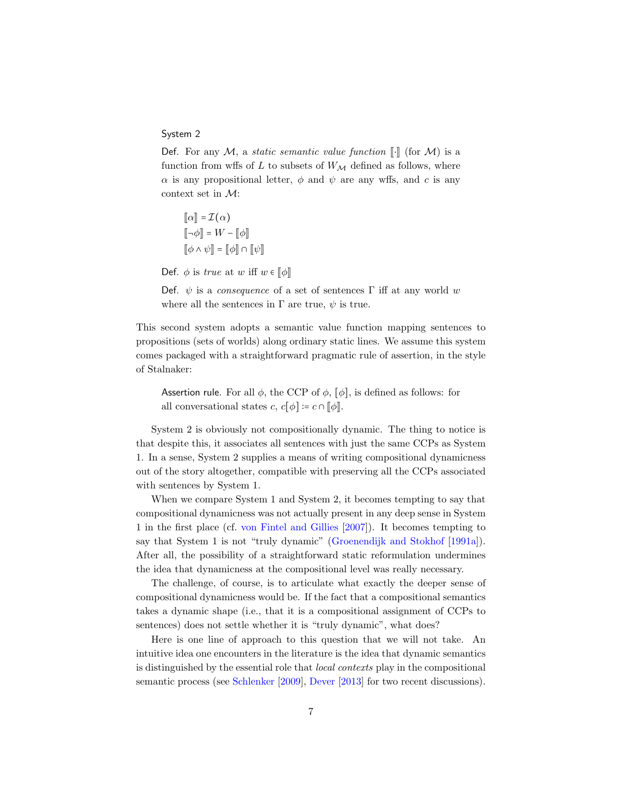#### System 2

Def. For any M, a static semantic value function  $\llbracket \cdot \rrbracket$  (for M) is a function from wffs of L to subsets of  $W_M$  defined as follows, where  $\alpha$  is any propositional letter,  $\phi$  and  $\psi$  are any wffs, and c is any context set in M:

 $\llbracket \alpha \rrbracket = \mathcal{I}(\alpha)$  $\llbracket \neg \phi \rrbracket = W - \llbracket \phi \rrbracket$  $\llbracket \phi \wedge \psi \rrbracket = \llbracket \phi \rrbracket \cap \llbracket \psi \rrbracket$ 

Def.  $\phi$  is *true* at w iff  $w \in [\![\phi]\!]$ 

Def.  $\psi$  is a consequence of a set of sentences Γ iff at any world w where all the sentences in  $\Gamma$  are true,  $\psi$  is true.

This second system adopts a semantic value function mapping sentences to propositions (sets of worlds) along ordinary static lines. We assume this system comes packaged with a straightforward pragmatic rule of assertion, in the style of Stalnaker:

Assertion rule. For all  $\phi$ , the CCP of  $\phi$ , [ $\phi$ ], is defined as follows: for all conversational states  $c, c[\phi] \coloneqq c \cap [\phi]$ .

System 2 is obviously not compositionally dynamic. The thing to notice is that despite this, it associates all sentences with just the same CCPs as System 1. In a sense, System 2 supplies a means of writing compositional dynamicness out of the story altogether, compatible with preserving all the CCPs associated with sentences by System 1.

When we compare System 1 and System 2, it becomes tempting to say that compositional dynamicness was not actually present in any deep sense in System 1 in the first place (cf. [von Fintel and Gillies](#page-25-6) [\[2007\]](#page-25-6)). It becomes tempting to say that System 1 is not "truly dynamic" [\(Groenendijk and Stokhof](#page-25-10) [\[1991a\]](#page-25-10)). After all, the possibility of a straightforward static reformulation undermines the idea that dynamicness at the compositional level was really necessary.

The challenge, of course, is to articulate what exactly the deeper sense of compositional dynamicness would be. If the fact that a compositional semantics takes a dynamic shape (i.e., that it is a compositional assignment of CCPs to sentences) does not settle whether it is "truly dynamic", what does?

Here is one line of approach to this question that we will not take. An intuitive idea one encounters in the literature is the idea that dynamic semantics is distinguished by the essential role that local contexts play in the compositional semantic process (see [Schlenker](#page-27-4) [\[2009\]](#page-27-4), [Dever](#page-24-6) [\[2013\]](#page-24-6) for two recent discussions).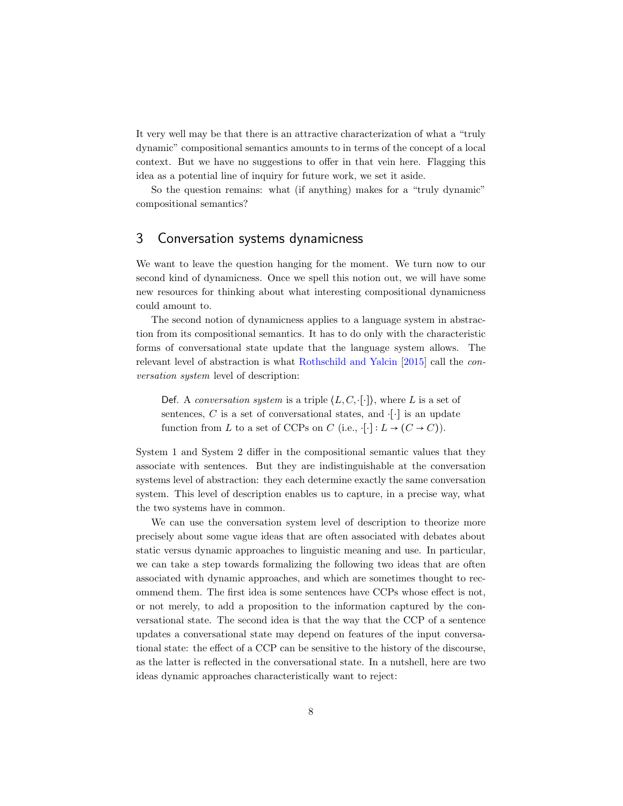It very well may be that there is an attractive characterization of what a "truly dynamic" compositional semantics amounts to in terms of the concept of a local context. But we have no suggestions to offer in that vein here. Flagging this idea as a potential line of inquiry for future work, we set it aside.

So the question remains: what (if anything) makes for a "truly dynamic" compositional semantics?

### 3 Conversation systems dynamicness

We want to leave the question hanging for the moment. We turn now to our second kind of dynamicness. Once we spell this notion out, we will have some new resources for thinking about what interesting compositional dynamicness could amount to.

The second notion of dynamicness applies to a language system in abstraction from its compositional semantics. It has to do only with the characteristic forms of conversational state update that the language system allows. The relevant level of abstraction is what [Rothschild and Yalcin](#page-26-8) [\[2015\]](#page-26-8) call the conversation system level of description:

Def. A conversation system is a triple  $\langle L, C, \cdot | \cdot \rangle$ , where L is a set of sentences, C is a set of conversational states, and  $\lceil \cdot \rceil$  is an update function from L to a set of CCPs on C (i.e.,  $\cdot[\cdot]: L \to (C \to C)$ ).

System 1 and System 2 differ in the compositional semantic values that they associate with sentences. But they are indistinguishable at the conversation systems level of abstraction: they each determine exactly the same conversation system. This level of description enables us to capture, in a precise way, what the two systems have in common.

We can use the conversation system level of description to theorize more precisely about some vague ideas that are often associated with debates about static versus dynamic approaches to linguistic meaning and use. In particular, we can take a step towards formalizing the following two ideas that are often associated with dynamic approaches, and which are sometimes thought to recommend them. The first idea is some sentences have CCPs whose effect is not, or not merely, to add a proposition to the information captured by the conversational state. The second idea is that the way that the CCP of a sentence updates a conversational state may depend on features of the input conversational state: the effect of a CCP can be sensitive to the history of the discourse, as the latter is reflected in the conversational state. In a nutshell, here are two ideas dynamic approaches characteristically want to reject: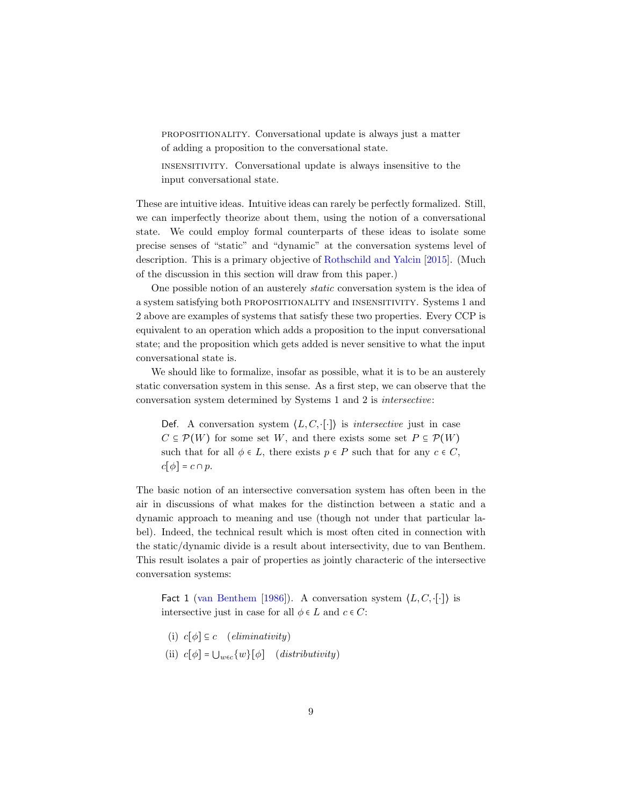propositionality. Conversational update is always just a matter of adding a proposition to the conversational state.

insensitivity. Conversational update is always insensitive to the input conversational state.

These are intuitive ideas. Intuitive ideas can rarely be perfectly formalized. Still, we can imperfectly theorize about them, using the notion of a conversational state. We could employ formal counterparts of these ideas to isolate some precise senses of "static" and "dynamic" at the conversation systems level of description. This is a primary objective of [Rothschild and Yalcin](#page-26-8) [\[2015\]](#page-26-8). (Much of the discussion in this section will draw from this paper.)

One possible notion of an austerely static conversation system is the idea of a system satisfying both propositionality and insensitivity. Systems 1 and 2 above are examples of systems that satisfy these two properties. Every CCP is equivalent to an operation which adds a proposition to the input conversational state; and the proposition which gets added is never sensitive to what the input conversational state is.

We should like to formalize, insofar as possible, what it is to be an austerely static conversation system in this sense. As a first step, we can observe that the conversation system determined by Systems 1 and 2 is intersective:

Def. A conversation system  $\langle L, C, \cdot | \cdot \rangle$  is *intersective* just in case  $C \subseteq \mathcal{P}(W)$  for some set W, and there exists some set  $P \subseteq \mathcal{P}(W)$ such that for all  $\phi \in L$ , there exists  $p \in P$  such that for any  $c \in C$ ,  $c[\phi] = c \cap p$ .

The basic notion of an intersective conversation system has often been in the air in discussions of what makes for the distinction between a static and a dynamic approach to meaning and use (though not under that particular label). Indeed, the technical result which is most often cited in connection with the static/dynamic divide is a result about intersectivity, due to van Benthem. This result isolates a pair of properties as jointly characteric of the intersective conversation systems:

Fact 1 [\(van Benthem](#page-27-14) [\[1986\]](#page-27-14)). A conversation system  $\langle L, C, \cdot [\cdot] \rangle$  is intersective just in case for all  $\phi \in L$  and  $c \in C$ :

(i)  $c[\phi] \subseteq c$  (eliminativity) (ii)  $c[\phi] = \bigcup_{w \in c} \{w\}[\phi]$  (distributivity)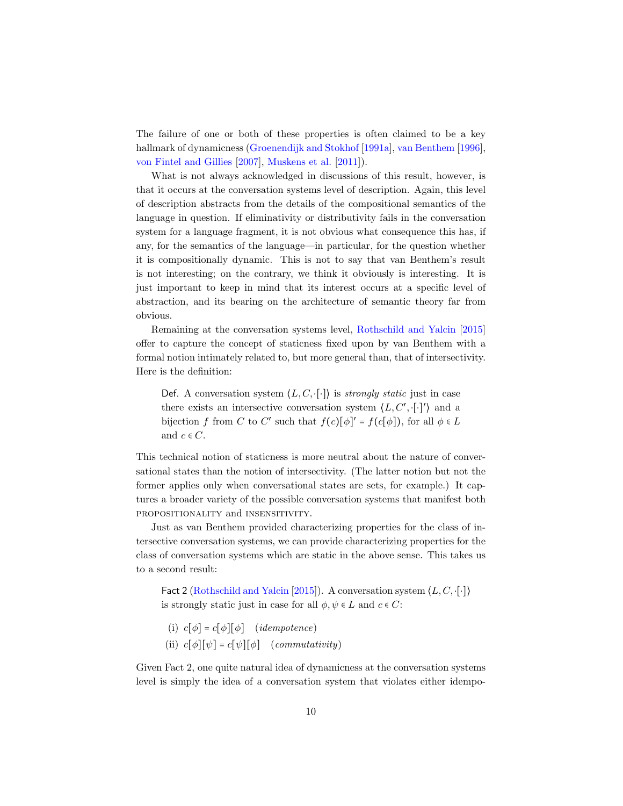The failure of one or both of these properties is often claimed to be a key hallmark of dynamicness [\(Groenendijk and Stokhof](#page-25-10) [\[1991a\]](#page-25-10), [van Benthem](#page-27-13) [\[1996\]](#page-27-13), [von Fintel and Gillies](#page-25-6) [\[2007\]](#page-25-6), [Muskens et al.](#page-26-14) [\[2011\]](#page-26-14)).

What is not always acknowledged in discussions of this result, however, is that it occurs at the conversation systems level of description. Again, this level of description abstracts from the details of the compositional semantics of the language in question. If eliminativity or distributivity fails in the conversation system for a language fragment, it is not obvious what consequence this has, if any, for the semantics of the language—in particular, for the question whether it is compositionally dynamic. This is not to say that van Benthem's result is not interesting; on the contrary, we think it obviously is interesting. It is just important to keep in mind that its interest occurs at a specific level of abstraction, and its bearing on the architecture of semantic theory far from obvious.

Remaining at the conversation systems level, [Rothschild and Yalcin](#page-26-8) [\[2015\]](#page-26-8) offer to capture the concept of staticness fixed upon by van Benthem with a formal notion intimately related to, but more general than, that of intersectivity. Here is the definition:

Def. A conversation system  $\langle L, C, \cdot[\cdot] \rangle$  is *strongly static* just in case there exists an intersective conversation system  $\langle L, C', \cdot [\cdot]'\rangle$  and a bijection f from C to C' such that  $f(c)[\phi]' = f(c[\phi])$ , for all  $\phi \in L$ and  $c \in C$ .

This technical notion of staticness is more neutral about the nature of conversational states than the notion of intersectivity. (The latter notion but not the former applies only when conversational states are sets, for example.) It captures a broader variety of the possible conversation systems that manifest both propositionality and insensitivity.

Just as van Benthem provided characterizing properties for the class of intersective conversation systems, we can provide characterizing properties for the class of conversation systems which are static in the above sense. This takes us to a second result:

Fact 2 [\(Rothschild and Yalcin](#page-26-8) [\[2015\]](#page-26-8)). A conversation system  $\langle L, C, \cdot | \cdot | \rangle$ is strongly static just in case for all  $\phi, \psi \in L$  and  $c \in C$ :

(i)  $c[\phi] = c[\phi][\phi]$  (*idempotence*) (ii)  $c[\phi][\psi] = c[\psi][\phi]$  (commutativity)

Given Fact 2, one quite natural idea of dynamicness at the conversation systems level is simply the idea of a conversation system that violates either idempo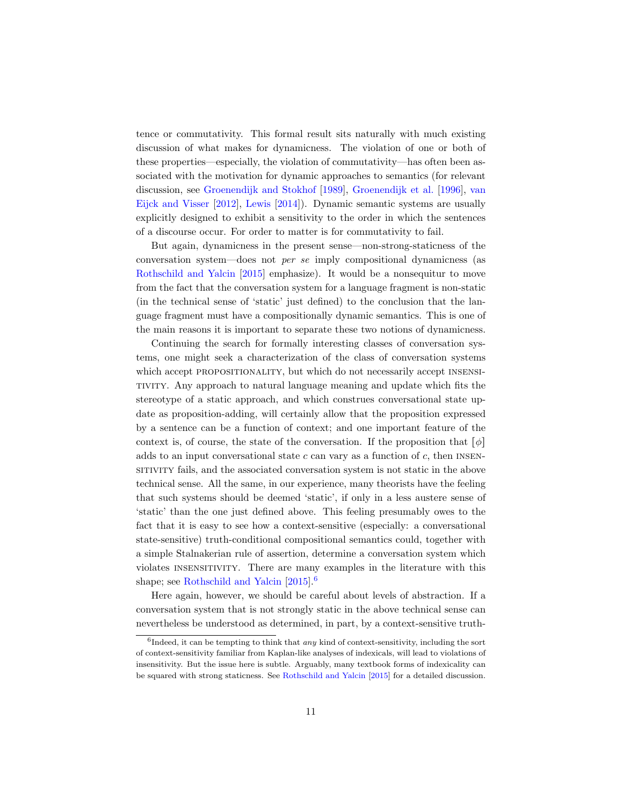tence or commutativity. This formal result sits naturally with much existing discussion of what makes for dynamicness. The violation of one or both of these properties—especially, the violation of commutativity—has often been associated with the motivation for dynamic approaches to semantics (for relevant discussion, see [Groenendijk and Stokhof](#page-25-11) [\[1989\]](#page-25-11), [Groenendijk et al.](#page-25-8) [\[1996\]](#page-25-8), [van](#page-27-15) [Eijck and Visser](#page-27-15) [\[2012\]](#page-27-15), [Lewis](#page-26-7) [\[2014\]](#page-26-7)). Dynamic semantic systems are usually explicitly designed to exhibit a sensitivity to the order in which the sentences of a discourse occur. For order to matter is for commutativity to fail.

But again, dynamicness in the present sense—non-strong-staticness of the conversation system—does not per se imply compositional dynamicness (as [Rothschild and Yalcin](#page-26-8) [\[2015\]](#page-26-8) emphasize). It would be a nonsequitur to move from the fact that the conversation system for a language fragment is non-static (in the technical sense of 'static' just defined) to the conclusion that the language fragment must have a compositionally dynamic semantics. This is one of the main reasons it is important to separate these two notions of dynamicness.

Continuing the search for formally interesting classes of conversation systems, one might seek a characterization of the class of conversation systems which accept PROPOSITIONALITY, but which do not necessarily accept INSENSItivity. Any approach to natural language meaning and update which fits the stereotype of a static approach, and which construes conversational state update as proposition-adding, will certainly allow that the proposition expressed by a sentence can be a function of context; and one important feature of the context is, of course, the state of the conversation. If the proposition that  $[\phi]$ adds to an input conversational state  $c$  can vary as a function of  $c$ , then INSENsitivity fails, and the associated conversation system is not static in the above technical sense. All the same, in our experience, many theorists have the feeling that such systems should be deemed 'static', if only in a less austere sense of 'static' than the one just defined above. This feeling presumably owes to the fact that it is easy to see how a context-sensitive (especially: a conversational state-sensitive) truth-conditional compositional semantics could, together with a simple Stalnakerian rule of assertion, determine a conversation system which violates insensitivity. There are many examples in the literature with this shape; see [Rothschild and Yalcin](#page-26-8) [\[2015\]](#page-26-8).<sup>[6](#page-10-0)</sup>

Here again, however, we should be careful about levels of abstraction. If a conversation system that is not strongly static in the above technical sense can nevertheless be understood as determined, in part, by a context-sensitive truth-

<span id="page-10-0"></span> ${}^{6}$ Indeed, it can be tempting to think that *any* kind of context-sensitivity, including the sort of context-sensitivity familiar from Kaplan-like analyses of indexicals, will lead to violations of insensitivity. But the issue here is subtle. Arguably, many textbook forms of indexicality can be squared with strong staticness. See [Rothschild and Yalcin](#page-26-8) [\[2015\]](#page-26-8) for a detailed discussion.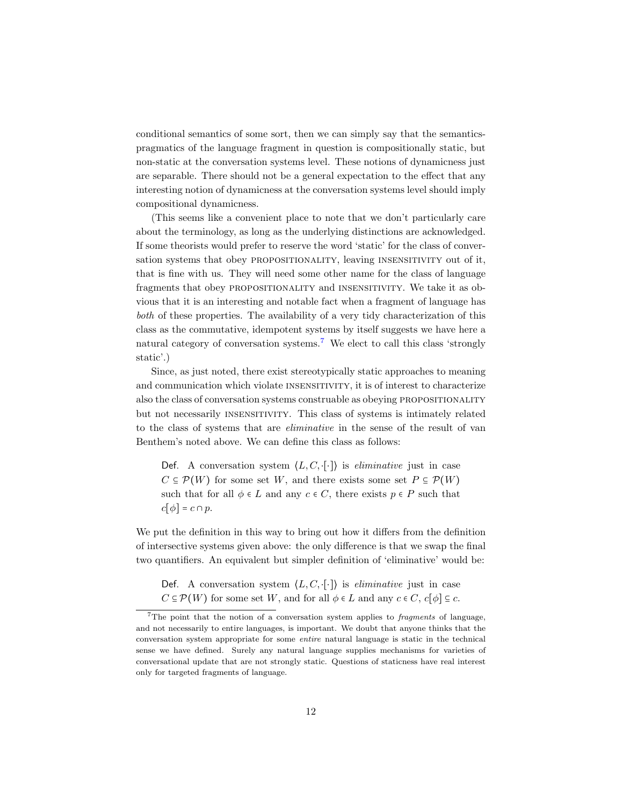conditional semantics of some sort, then we can simply say that the semanticspragmatics of the language fragment in question is compositionally static, but non-static at the conversation systems level. These notions of dynamicness just are separable. There should not be a general expectation to the effect that any interesting notion of dynamicness at the conversation systems level should imply compositional dynamicness.

(This seems like a convenient place to note that we don't particularly care about the terminology, as long as the underlying distinctions are acknowledged. If some theorists would prefer to reserve the word 'static' for the class of conversation systems that obey propositionality, leaving insensitivity out of it, that is fine with us. They will need some other name for the class of language fragments that obey propositionality and insensitivity. We take it as obvious that it is an interesting and notable fact when a fragment of language has both of these properties. The availability of a very tidy characterization of this class as the commutative, idempotent systems by itself suggests we have here a natural category of conversation systems.<sup>[7](#page-11-0)</sup> We elect to call this class 'strongly static'.)

Since, as just noted, there exist stereotypically static approaches to meaning and communication which violate insensitivity, it is of interest to characterize also the class of conversation systems construable as obeying propositionality but not necessarily insensitivity. This class of systems is intimately related to the class of systems that are eliminative in the sense of the result of van Benthem's noted above. We can define this class as follows:

Def. A conversation system  $\langle L, C, \cdot | \cdot \rangle$  is *eliminative* just in case  $C \subseteq \mathcal{P}(W)$  for some set W, and there exists some set  $P \subseteq \mathcal{P}(W)$ such that for all  $\phi \in L$  and any  $c \in C$ , there exists  $p \in P$  such that  $c[\phi] = c \cap p$ .

We put the definition in this way to bring out how it differs from the definition of intersective systems given above: the only difference is that we swap the final two quantifiers. An equivalent but simpler definition of 'eliminative' would be:

Def. A conversation system  $\langle L, C, \cdot | \cdot \rangle$  is *eliminative* just in case  $C \subseteq \mathcal{P}(W)$  for some set W, and for all  $\phi \in L$  and any  $c \in C$ ,  $c[\phi] \subseteq c$ .

<span id="page-11-0"></span><sup>&</sup>lt;sup>7</sup>The point that the notion of a conversation system applies to *fragments* of language, and not necessarily to entire languages, is important. We doubt that anyone thinks that the conversation system appropriate for some entire natural language is static in the technical sense we have defined. Surely any natural language supplies mechanisms for varieties of conversational update that are not strongly static. Questions of staticness have real interest only for targeted fragments of language.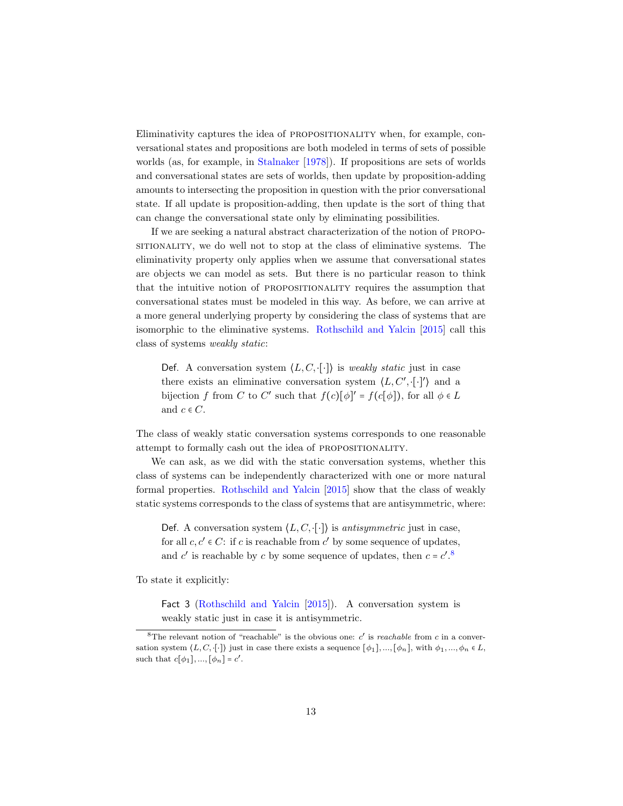Eliminativity captures the idea of propositionality when, for example, conversational states and propositions are both modeled in terms of sets of possible worlds (as, for example, in [Stalnaker](#page-27-1) [\[1978\]](#page-27-1)). If propositions are sets of worlds and conversational states are sets of worlds, then update by proposition-adding amounts to intersecting the proposition in question with the prior conversational state. If all update is proposition-adding, then update is the sort of thing that can change the conversational state only by eliminating possibilities.

If we are seeking a natural abstract characterization of the notion of propositionality, we do well not to stop at the class of eliminative systems. The eliminativity property only applies when we assume that conversational states are objects we can model as sets. But there is no particular reason to think that the intuitive notion of PROPOSITIONALITY requires the assumption that conversational states must be modeled in this way. As before, we can arrive at a more general underlying property by considering the class of systems that are isomorphic to the eliminative systems. [Rothschild and Yalcin](#page-26-8) [\[2015\]](#page-26-8) call this class of systems weakly static:

Def. A conversation system  $\langle L, C, \cdot | \cdot \rangle$  is *weakly static* just in case there exists an eliminative conversation system  $\langle L, C', \cdot [\cdot]'\rangle$  and a bijection f from C to C' such that  $f(c)[\phi]' = f(c[\phi])$ , for all  $\phi \in L$ and  $c \in C$ .

The class of weakly static conversation systems corresponds to one reasonable attempt to formally cash out the idea of propositionality.

We can ask, as we did with the static conversation systems, whether this class of systems can be independently characterized with one or more natural formal properties. [Rothschild and Yalcin](#page-26-8) [\[2015\]](#page-26-8) show that the class of weakly static systems corresponds to the class of systems that are antisymmetric, where:

Def. A conversation system  $\langle L, C, \cdot | \cdot \rangle$  is *antisymmetric* just in case, for all  $c, c' \in C$ : if c is reachable from  $c'$  by some sequence of updates, and  $c'$  is reachable by c by some sequence of updates, then  $c = c'.$ <sup>[8](#page-12-0)</sup>

To state it explicitly:

Fact 3 [\(Rothschild and Yalcin](#page-26-8) [\[2015\]](#page-26-8)). A conversation system is weakly static just in case it is antisymmetric.

<span id="page-12-0"></span><sup>&</sup>lt;sup>8</sup>The relevant notion of "reachable" is the obvious one:  $c'$  is *reachable* from c in a conversation system  $\langle L, C, [\cdot] \rangle$  just in case there exists a sequence  $[\phi_1], ..., [\phi_n],$  with  $\phi_1, ..., \phi_n \in L$ , such that  $c[\phi_1], ..., [\phi_n] = c'$ .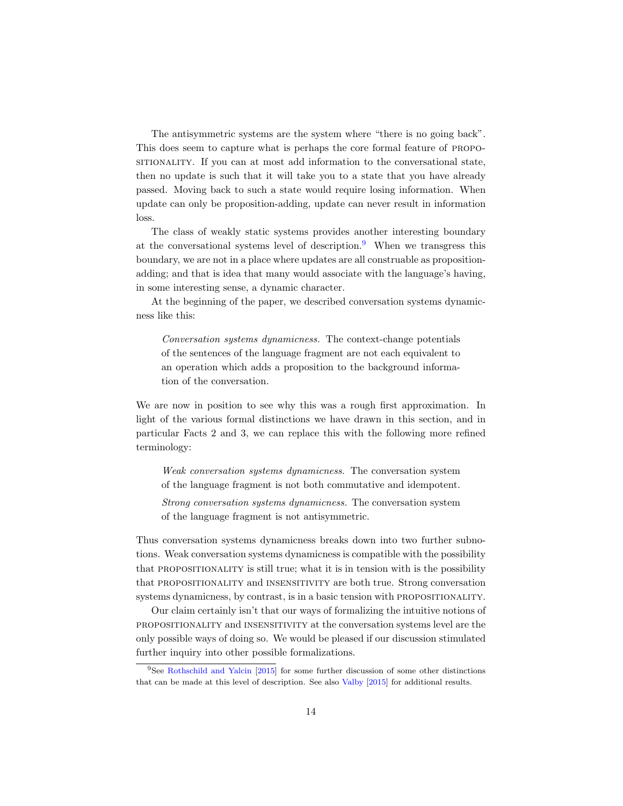The antisymmetric systems are the system where "there is no going back". This does seem to capture what is perhaps the core formal feature of propositional state, sitionally can at most add information to the conversational state, then no update is such that it will take you to a state that you have already passed. Moving back to such a state would require losing information. When update can only be proposition-adding, update can never result in information loss.

The class of weakly static systems provides another interesting boundary at the conversational systems level of description.[9](#page-13-0) When we transgress this boundary, we are not in a place where updates are all construable as propositionadding; and that is idea that many would associate with the language's having, in some interesting sense, a dynamic character.

At the beginning of the paper, we described conversation systems dynamicness like this:

Conversation systems dynamicness. The context-change potentials of the sentences of the language fragment are not each equivalent to an operation which adds a proposition to the background information of the conversation.

We are now in position to see why this was a rough first approximation. In light of the various formal distinctions we have drawn in this section, and in particular Facts 2 and 3, we can replace this with the following more refined terminology:

Weak conversation systems dynamicness. The conversation system of the language fragment is not both commutative and idempotent.

Strong conversation systems dynamicness. The conversation system of the language fragment is not antisymmetric.

Thus conversation systems dynamicness breaks down into two further subnotions. Weak conversation systems dynamicness is compatible with the possibility that propositionality is still true; what it is in tension with is the possibility that PROPOSITIONALITY and INSENSITIVITY are both true. Strong conversation systems dynamicness, by contrast, is in a basic tension with propositionality.

Our claim certainly isn't that our ways of formalizing the intuitive notions of propositionality and insensitivity at the conversation systems level are the only possible ways of doing so. We would be pleased if our discussion stimulated further inquiry into other possible formalizations.

<span id="page-13-0"></span><sup>9</sup>See [Rothschild and Yalcin](#page-26-8) [\[2015\]](#page-26-8) for some further discussion of some other distinctions that can be made at this level of description. See also [Valby](#page-27-16) [\[2015\]](#page-27-16) for additional results.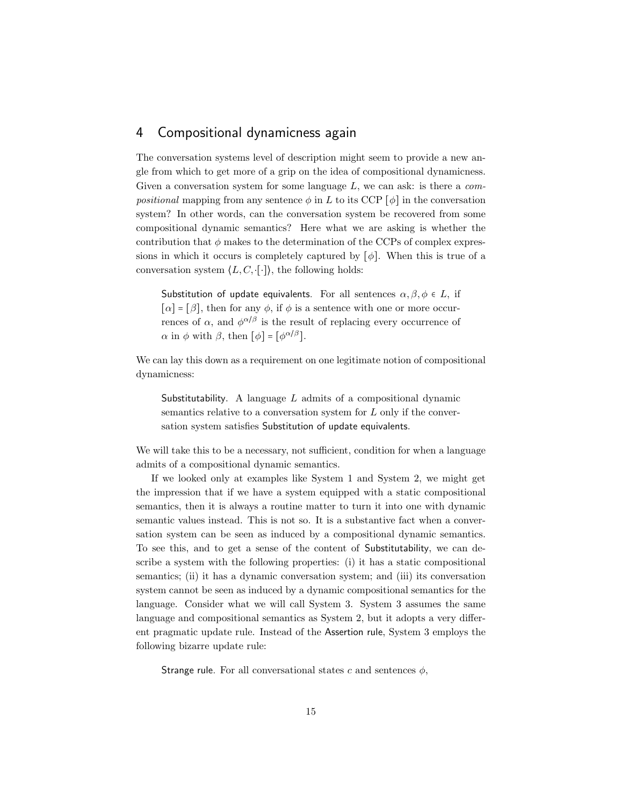### 4 Compositional dynamicness again

The conversation systems level of description might seem to provide a new angle from which to get more of a grip on the idea of compositional dynamicness. Given a conversation system for some language  $L$ , we can ask: is there a *compositional* mapping from any sentence  $\phi$  in L to its CCP  $[\phi]$  in the conversation system? In other words, can the conversation system be recovered from some compositional dynamic semantics? Here what we are asking is whether the contribution that  $\phi$  makes to the determination of the CCPs of complex expressions in which it occurs is completely captured by  $[\phi]$ . When this is true of a conversation system  $\langle L, C, \cdot | \cdot \rangle$ , the following holds:

Substitution of update equivalents. For all sentences  $\alpha, \beta, \phi \in L$ , if  $[\alpha] = [\beta]$ , then for any  $\phi$ , if  $\phi$  is a sentence with one or more occurrences of α, and  $\phi^{\alpha/\beta}$  is the result of replacing every occurrence of  $\alpha$  in  $\phi$  with  $\beta$ , then  $[\phi] = [\phi^{\alpha/\beta}]$ .

We can lay this down as a requirement on one legitimate notion of compositional dynamicness:

Substitutability. A language  $L$  admits of a compositional dynamic semantics relative to a conversation system for L only if the conversation system satisfies Substitution of update equivalents.

We will take this to be a necessary, not sufficient, condition for when a language admits of a compositional dynamic semantics.

If we looked only at examples like System 1 and System 2, we might get the impression that if we have a system equipped with a static compositional semantics, then it is always a routine matter to turn it into one with dynamic semantic values instead. This is not so. It is a substantive fact when a conversation system can be seen as induced by a compositional dynamic semantics. To see this, and to get a sense of the content of Substitutability, we can describe a system with the following properties: (i) it has a static compositional semantics; (ii) it has a dynamic conversation system; and (iii) its conversation system cannot be seen as induced by a dynamic compositional semantics for the language. Consider what we will call System 3. System 3 assumes the same language and compositional semantics as System 2, but it adopts a very different pragmatic update rule. Instead of the Assertion rule, System 3 employs the following bizarre update rule:

Strange rule. For all conversational states c and sentences  $\phi$ ,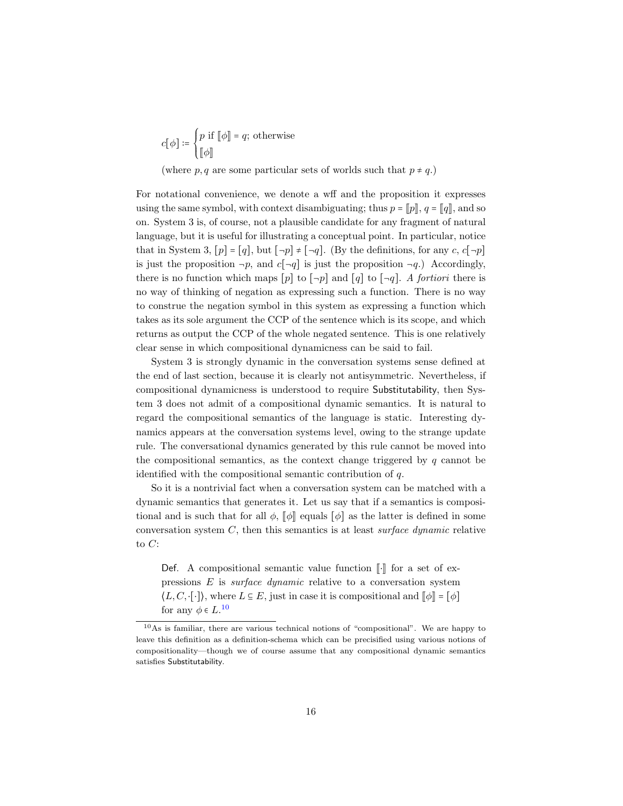$$
c[\phi] \coloneqq \begin{cases} p \text{ if } [\![\phi]\!] = q; \text{ otherwise} \\ [\![\phi]\!] \end{cases}
$$

(where p, q are some particular sets of worlds such that  $p \neq q$ .)

For notational convenience, we denote a wff and the proposition it expresses using the same symbol, with context disambiguating; thus  $p = \llbracket p \rrbracket$ ,  $q = \llbracket q \rrbracket$ , and so on. System 3 is, of course, not a plausible candidate for any fragment of natural language, but it is useful for illustrating a conceptual point. In particular, notice that in System 3,  $[p] = [q]$ , but  $[\neg p] \neq [\neg q]$ . (By the definitions, for any c,  $c[\neg p]$ is just the proposition  $\neg p$ , and  $c[\neg q]$  is just the proposition  $\neg q$ .) Accordingly, there is no function which maps  $[p]$  to  $[\neg p]$  and  $[q]$  to  $[\neg q]$ . A fortiori there is no way of thinking of negation as expressing such a function. There is no way to construe the negation symbol in this system as expressing a function which takes as its sole argument the CCP of the sentence which is its scope, and which returns as output the CCP of the whole negated sentence. This is one relatively clear sense in which compositional dynamicness can be said to fail.

System 3 is strongly dynamic in the conversation systems sense defined at the end of last section, because it is clearly not antisymmetric. Nevertheless, if compositional dynamicness is understood to require Substitutability, then System 3 does not admit of a compositional dynamic semantics. It is natural to regard the compositional semantics of the language is static. Interesting dynamics appears at the conversation systems level, owing to the strange update rule. The conversational dynamics generated by this rule cannot be moved into the compositional semantics, as the context change triggered by  $q$  cannot be identified with the compositional semantic contribution of  $q$ .

So it is a nontrivial fact when a conversation system can be matched with a dynamic semantics that generates it. Let us say that if a semantics is compositional and is such that for all  $\phi$ ,  $\llbracket \phi \rrbracket$  equals  $\llbracket \phi \rrbracket$  as the latter is defined in some conversation system  $C$ , then this semantics is at least *surface dynamic* relative to  $C$ :

Def. A compositional semantic value function  $\llbracket \cdot \rrbracket$  for a set of expressions  $E$  is *surface dynamic* relative to a conversation system  $\langle L, C, \cdot[\cdot] \rangle$ , where  $L \subseteq E$ , just in case it is compositional and  $\llbracket \phi \rrbracket = \llbracket \phi \rrbracket$ for any  $\phi \in L$ .<sup>[10](#page-15-0)</sup>

<span id="page-15-0"></span><sup>10</sup>As is familiar, there are various technical notions of "compositional". We are happy to leave this definition as a definition-schema which can be precisified using various notions of compositionality—though we of course assume that any compositional dynamic semantics satisfies Substitutability.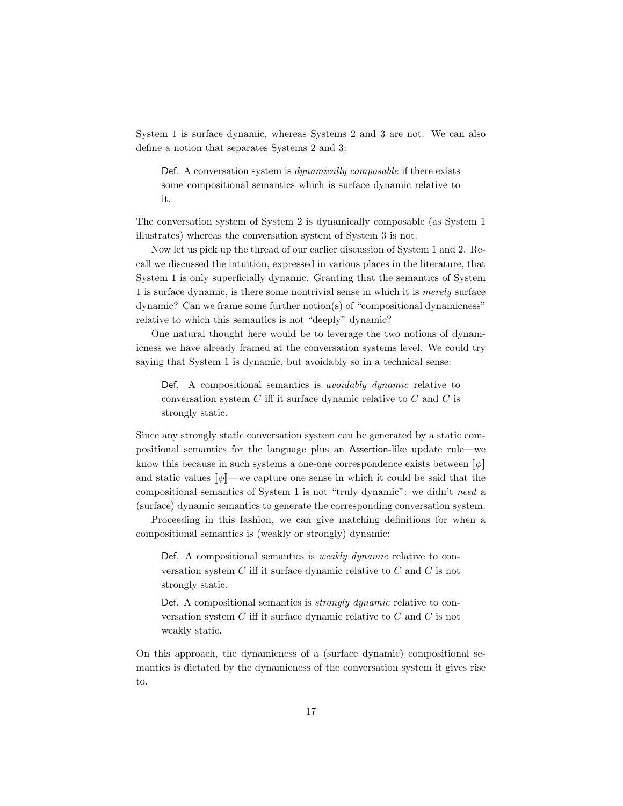System 1 is surface dynamic, whereas Systems 2 and 3 are not. We can also define a notion that separates Systems 2 and 3:

Def. A conversation system is *dynamically composable* if there exists some compositional semantics which is surface dynamic relative to it.

The conversation system of System 2 is dynamically composable (as System 1 illustrates) whereas the conversation system of System 3 is not.

Now let us pick up the thread of our earlier discussion of System 1 and 2. Recall we discussed the intuition, expressed in various places in the literature, that System 1 is only superficially dynamic. Granting that the semantics of System 1 is surface dynamic, is there some nontrivial sense in which it is merely surface dynamic? Can we frame some further notion(s) of "compositional dynamicness" relative to which this semantics is not "deeply" dynamic?

One natural thought here would be to leverage the two notions of dynamicness we have already framed at the conversation systems level. We could try saying that System 1 is dynamic, but avoidably so in a technical sense:

Def. A compositional semantics is *avoidably dynamic* relative to conversation system  $C$  iff it surface dynamic relative to  $C$  and  $C$  is strongly static.

Since any strongly static conversation system can be generated by a static compositional semantics for the language plus an Assertion-like update rule—we know this because in such systems a one-one correspondence exists between  $\lceil \phi \rceil$ and static values  $\llbracket \phi \rrbracket$ —we capture one sense in which it could be said that the compositional semantics of System 1 is not "truly dynamic": we didn't need a (surface) dynamic semantics to generate the corresponding conversation system.

Proceeding in this fashion, we can give matching definitions for when a compositional semantics is (weakly or strongly) dynamic:

Def. A compositional semantics is *weakly dynamic* relative to conversation system  $C$  iff it surface dynamic relative to  $C$  and  $C$  is not strongly static.

Def. A compositional semantics is strongly dynamic relative to conversation system  $C$  iff it surface dynamic relative to  $C$  and  $C$  is not weakly static.

On this approach, the dynamicness of a (surface dynamic) compositional semantics is dictated by the dynamicness of the conversation system it gives rise to.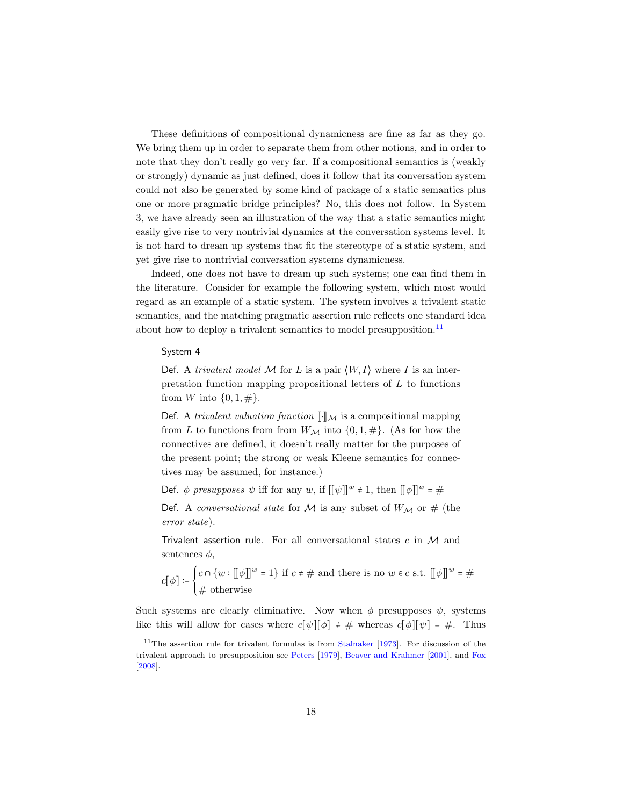These definitions of compositional dynamicness are fine as far as they go. We bring them up in order to separate them from other notions, and in order to note that they don't really go very far. If a compositional semantics is (weakly or strongly) dynamic as just defined, does it follow that its conversation system could not also be generated by some kind of package of a static semantics plus one or more pragmatic bridge principles? No, this does not follow. In System 3, we have already seen an illustration of the way that a static semantics might easily give rise to very nontrivial dynamics at the conversation systems level. It is not hard to dream up systems that fit the stereotype of a static system, and yet give rise to nontrivial conversation systems dynamicness.

Indeed, one does not have to dream up such systems; one can find them in the literature. Consider for example the following system, which most would regard as an example of a static system. The system involves a trivalent static semantics, and the matching pragmatic assertion rule reflects one standard idea about how to deploy a trivalent semantics to model presupposition.<sup>[11](#page-17-0)</sup>

#### System 4

Def. A trivalent model  $M$  for L is a pair  $\langle W, I \rangle$  where I is an interpretation function mapping propositional letters of  $L$  to functions from W into  $\{0, 1, \# \}.$ 

Def. A trivalent valuation function  $\llbracket \cdot \rrbracket_{\mathcal{M}}$  is a compositional mapping from L to functions from from  $W_{\mathcal{M}}$  into  $\{0,1,\#\}$ . (As for how the connectives are defined, it doesn't really matter for the purposes of the present point; the strong or weak Kleene semantics for connectives may be assumed, for instance.)

Def.  $\phi$  presupposes  $\psi$  iff for any w, if  $[\![\psi]\!]^w \neq 1$ , then  $[\![\phi]\!]^w = \#$ 

Def. A conversational state for M is any subset of  $W_M$  or # (the error state).

Trivalent assertion rule. For all conversational states  $c$  in  $M$  and sentences  $\phi$ ,

$$
c[\phi] \coloneqq \begin{cases} c \cap \{w : [\![\phi]\!]^w = 1\} & \text{if } c \neq \# \text{ and there is no } w \in c \text{ s.t. } [\![\phi]\!]^w = \# \\ \# \text{ otherwise} \end{cases}
$$

Such systems are clearly eliminative. Now when  $\phi$  presupposes  $\psi$ , systems like this will allow for cases where  $c[\psi][\phi] \neq \#$  whereas  $c[\phi][\psi] = \#$ . Thus

<span id="page-17-0"></span> $11$ The assertion rule for trivalent formulas is from [Stalnaker](#page-27-17) [\[1973\]](#page-27-17). For discussion of the trivalent approach to presupposition see [Peters](#page-26-15) [\[1979\]](#page-26-15), [Beaver and Krahmer](#page-24-9) [\[2001\]](#page-24-9), and [Fox](#page-25-12) [\[2008\]](#page-25-12).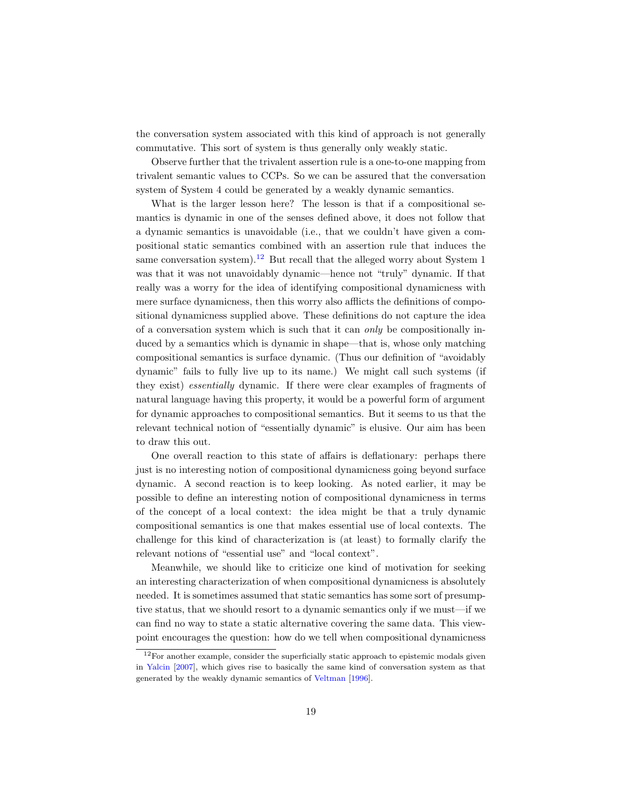the conversation system associated with this kind of approach is not generally commutative. This sort of system is thus generally only weakly static.

Observe further that the trivalent assertion rule is a one-to-one mapping from trivalent semantic values to CCPs. So we can be assured that the conversation system of System 4 could be generated by a weakly dynamic semantics.

What is the larger lesson here? The lesson is that if a compositional semantics is dynamic in one of the senses defined above, it does not follow that a dynamic semantics is unavoidable (i.e., that we couldn't have given a compositional static semantics combined with an assertion rule that induces the same conversation system).<sup>[12](#page-18-0)</sup> But recall that the alleged worry about System 1 was that it was not unavoidably dynamic—hence not "truly" dynamic. If that really was a worry for the idea of identifying compositional dynamicness with mere surface dynamicness, then this worry also afflicts the definitions of compositional dynamicness supplied above. These definitions do not capture the idea of a conversation system which is such that it can only be compositionally induced by a semantics which is dynamic in shape—that is, whose only matching compositional semantics is surface dynamic. (Thus our definition of "avoidably dynamic" fails to fully live up to its name.) We might call such systems (if they exist) essentially dynamic. If there were clear examples of fragments of natural language having this property, it would be a powerful form of argument for dynamic approaches to compositional semantics. But it seems to us that the relevant technical notion of "essentially dynamic" is elusive. Our aim has been to draw this out.

One overall reaction to this state of affairs is deflationary: perhaps there just is no interesting notion of compositional dynamicness going beyond surface dynamic. A second reaction is to keep looking. As noted earlier, it may be possible to define an interesting notion of compositional dynamicness in terms of the concept of a local context: the idea might be that a truly dynamic compositional semantics is one that makes essential use of local contexts. The challenge for this kind of characterization is (at least) to formally clarify the relevant notions of "essential use" and "local context".

Meanwhile, we should like to criticize one kind of motivation for seeking an interesting characterization of when compositional dynamicness is absolutely needed. It is sometimes assumed that static semantics has some sort of presumptive status, that we should resort to a dynamic semantics only if we must—if we can find no way to state a static alternative covering the same data. This viewpoint encourages the question: how do we tell when compositional dynamicness

<span id="page-18-0"></span> $12$  For another example, consider the superficially static approach to epistemic modals given in [Yalcin](#page-28-0) [\[2007\]](#page-28-0), which gives rise to basically the same kind of conversation system as that generated by the weakly dynamic semantics of [Veltman](#page-27-7) [\[1996\]](#page-27-7).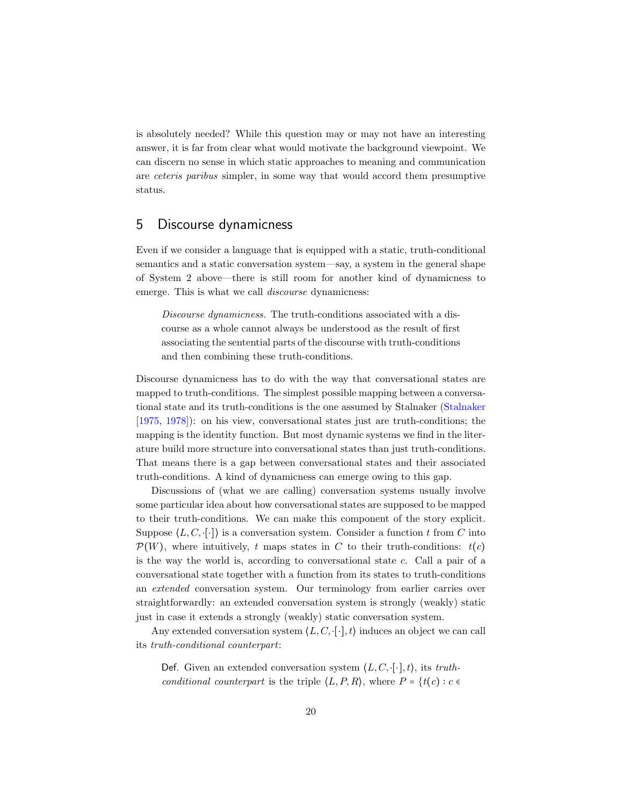is absolutely needed? While this question may or may not have an interesting answer, it is far from clear what would motivate the background viewpoint. We can discern no sense in which static approaches to meaning and communication are ceteris paribus simpler, in some way that would accord them presumptive status.

#### 5 Discourse dynamicness

Even if we consider a language that is equipped with a static, truth-conditional semantics and a static conversation system—say, a system in the general shape of System 2 above—there is still room for another kind of dynamicness to emerge. This is what we call *discourse* dynamicness:

Discourse dynamicness. The truth-conditions associated with a discourse as a whole cannot always be understood as the result of first associating the sentential parts of the discourse with truth-conditions and then combining these truth-conditions.

Discourse dynamicness has to do with the way that conversational states are mapped to truth-conditions. The simplest possible mapping between a conversational state and its truth-conditions is the one assumed by Stalnaker [\(Stalnaker](#page-27-18) [\[1975,](#page-27-18) [1978\]](#page-27-1)): on his view, conversational states just are truth-conditions; the mapping is the identity function. But most dynamic systems we find in the literature build more structure into conversational states than just truth-conditions. That means there is a gap between conversational states and their associated truth-conditions. A kind of dynamicness can emerge owing to this gap.

Discussions of (what we are calling) conversation systems usually involve some particular idea about how conversational states are supposed to be mapped to their truth-conditions. We can make this component of the story explicit. Suppose  $\langle L, C, \cdot [\cdot] \rangle$  is a conversation system. Consider a function t from C into  $\mathcal{P}(W)$ , where intuitively, t maps states in C to their truth-conditions:  $t(c)$ is the way the world is, according to conversational state  $c$ . Call a pair of a conversational state together with a function from its states to truth-conditions an extended conversation system. Our terminology from earlier carries over straightforwardly: an extended conversation system is strongly (weakly) static just in case it extends a strongly (weakly) static conversation system.

Any extended conversation system  $\langle L, C, \cdot[\cdot], t \rangle$  induces an object we can call its truth-conditional counterpart:

Def. Given an extended conversation system  $\langle L, C, \cdot[\cdot], t \rangle$ , its truthconditional counterpart is the triple  $\langle L, P, R \rangle$ , where  $P = \{t(c) : c \in \mathbb{R}^d : |f| \leq c \}$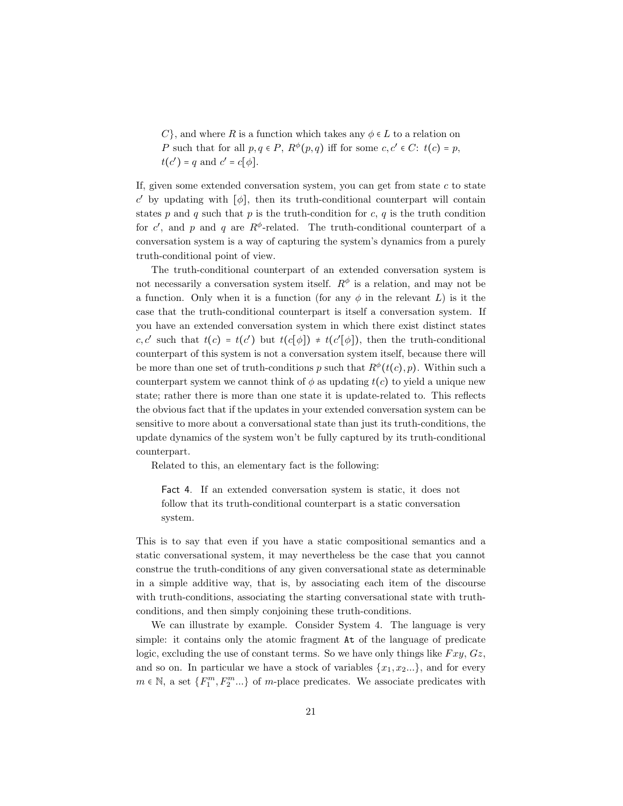C, and where R is a function which takes any  $\phi \in L$  to a relation on P such that for all  $p, q \in P$ ,  $R^{\phi}(p,q)$  iff for some  $c, c' \in C$ :  $t(c) = p$ ,  $t(c') = q$  and  $c' = c[\phi]$ .

If, given some extended conversation system, you can get from state  $c$  to state  $c'$  by updating with  $[\phi]$ , then its truth-conditional counterpart will contain states p and q such that p is the truth-condition for c, q is the truth condition for c', and p and q are  $R^{\phi}$ -related. The truth-conditional counterpart of a conversation system is a way of capturing the system's dynamics from a purely truth-conditional point of view.

The truth-conditional counterpart of an extended conversation system is not necessarily a conversation system itself.  $R^{\phi}$  is a relation, and may not be a function. Only when it is a function (for any  $\phi$  in the relevant L) is it the case that the truth-conditional counterpart is itself a conversation system. If you have an extended conversation system in which there exist distinct states c, c' such that  $t(c) = t(c')$  but  $t(c[\phi]) \neq t(c'[\phi])$ , then the truth-conditional counterpart of this system is not a conversation system itself, because there will be more than one set of truth-conditions p such that  $R^{\phi}(t(c), p)$ . Within such a counterpart system we cannot think of  $\phi$  as updating  $t(c)$  to yield a unique new state; rather there is more than one state it is update-related to. This reflects the obvious fact that if the updates in your extended conversation system can be sensitive to more about a conversational state than just its truth-conditions, the update dynamics of the system won't be fully captured by its truth-conditional counterpart.

Related to this, an elementary fact is the following:

Fact 4. If an extended conversation system is static, it does not follow that its truth-conditional counterpart is a static conversation system.

This is to say that even if you have a static compositional semantics and a static conversational system, it may nevertheless be the case that you cannot construe the truth-conditions of any given conversational state as determinable in a simple additive way, that is, by associating each item of the discourse with truth-conditions, associating the starting conversational state with truthconditions, and then simply conjoining these truth-conditions.

We can illustrate by example. Consider System 4. The language is very simple: it contains only the atomic fragment At of the language of predicate logic, excluding the use of constant terms. So we have only things like  $Fxy, Gz$ , and so on. In particular we have a stock of variables  $\{x_1, x_2...\}$ , and for every  $m \in \mathbb{N}$ , a set  $\{F_1^m, F_2^m...\}$  of m-place predicates. We associate predicates with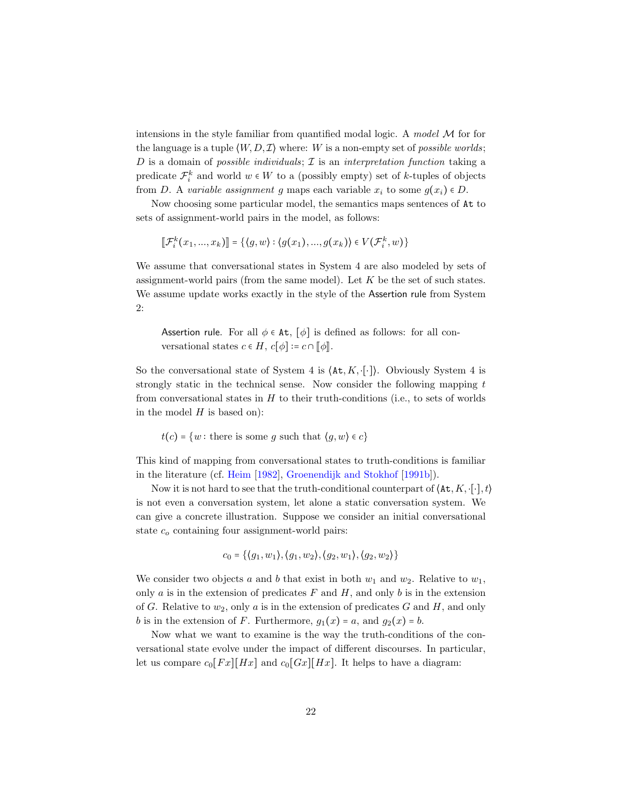intensions in the style familiar from quantified modal logic. A model  $M$  for for the language is a tuple  $\langle W, D, \mathcal{I} \rangle$  where: W is a non-empty set of *possible worlds*; D is a domain of possible individuals;  $\mathcal I$  is an interpretation function taking a predicate  $\mathcal{F}_i^k$  and world  $w \in W$  to a (possibly empty) set of k-tuples of objects from D. A variable assignment g maps each variable  $x_i$  to some  $g(x_i) \in D$ .

Now choosing some particular model, the semantics maps sentences of At to sets of assignment-world pairs in the model, as follows:

$$
[\![\mathcal{F}_i^k(x_1, ..., x_k)]\!] = \{ \langle g, w \rangle : \langle g(x_1), ..., g(x_k) \rangle \in V(\mathcal{F}_i^k, w) \}
$$

We assume that conversational states in System 4 are also modeled by sets of assignment-world pairs (from the same model). Let  $K$  be the set of such states. We assume update works exactly in the style of the Assertion rule from System 2:

Assertion rule. For all  $\phi \in At$ ,  $[\phi]$  is defined as follows: for all conversational states  $c \in H$ ,  $c[\phi] \coloneqq c \cap [\phi]$ .

So the conversational state of System 4 is  $\langle \text{At}, K, \cdot[\cdot] \rangle$ . Obviously System 4 is strongly static in the technical sense. Now consider the following mapping  $t$ from conversational states in  $H$  to their truth-conditions (i.e., to sets of worlds in the model  $H$  is based on):

 $t(c) = \{w : \text{there is some } g \text{ such that } \langle g, w \rangle \in c\}$ 

This kind of mapping from conversational states to truth-conditions is familiar in the literature (cf. [Heim](#page-25-1) [\[1982\]](#page-25-1), [Groenendijk and Stokhof](#page-25-13) [\[1991b\]](#page-25-13)).

Now it is not hard to see that the truth-conditional counterpart of  $\langle \text{At}, K, \cdot, \cdot \rangle$ , t is not even a conversation system, let alone a static conversation system. We can give a concrete illustration. Suppose we consider an initial conversational state  $c<sub>o</sub>$  containing four assignment-world pairs:

$$
c_0 = \{ \langle g_1, w_1 \rangle, \langle g_1, w_2 \rangle, \langle g_2, w_1 \rangle, \langle g_2, w_2 \rangle \}
$$

We consider two objects a and b that exist in both  $w_1$  and  $w_2$ . Relative to  $w_1$ , only  $a$  is in the extension of predicates  $F$  and  $H$ , and only  $b$  is in the extension of G. Relative to  $w_2$ , only a is in the extension of predicates G and H, and only b is in the extension of F. Furthermore,  $g_1(x) = a$ , and  $g_2(x) = b$ .

Now what we want to examine is the way the truth-conditions of the conversational state evolve under the impact of different discourses. In particular, let us compare  $c_0[Fx][Hx]$  and  $c_0[Gx][Hx]$ . It helps to have a diagram: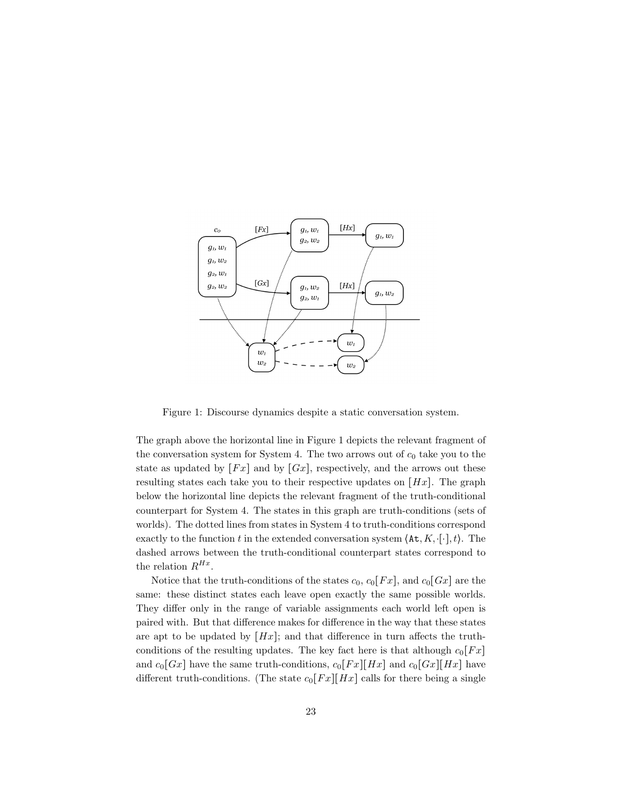

Figure 1: Discourse dynamics despite a static conversation system.

The graph above the horizontal line in Figure 1 depicts the relevant fragment of the conversation system for System 4. The two arrows out of  $c_0$  take you to the state as updated by  $[Fx]$  and by  $[Gx]$ , respectively, and the arrows out these resulting states each take you to their respective updates on  $[Hx]$ . The graph below the horizontal line depicts the relevant fragment of the truth-conditional counterpart for System 4. The states in this graph are truth-conditions (sets of worlds). The dotted lines from states in System 4 to truth-conditions correspond exactly to the function t in the extended conversation system  $\langle \texttt{At}, K, [\cdot], t \rangle$ . The dashed arrows between the truth-conditional counterpart states correspond to the relation  $R^{Hx}$ .

Notice that the truth-conditions of the states  $c_0$ ,  $c_0[Fx]$ , and  $c_0[Gx]$  are the same: these distinct states each leave open exactly the same possible worlds. They differ only in the range of variable assignments each world left open is paired with. But that difference makes for difference in the way that these states are apt to be updated by  $[Hx]$ ; and that difference in turn affects the truthconditions of the resulting updates. The key fact here is that although  $c_0[Fx]$ and  $c_0[Gx]$  have the same truth-conditions,  $c_0[Fx][Hx]$  and  $c_0[Gx][Hx]$  have different truth-conditions. (The state  $c_0[Fx][Hx]$  calls for there being a single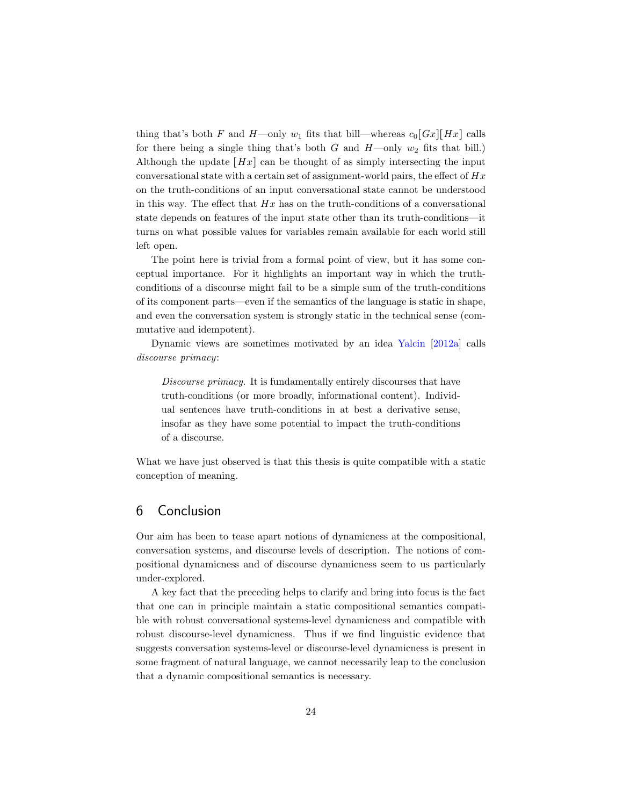thing that's both F and H—only  $w_1$  fits that bill—whereas  $c_0[Gx][Hx]$  calls for there being a single thing that's both G and  $H$ —only  $w_2$  fits that bill.) Although the update  $[Hz]$  can be thought of as simply intersecting the input conversational state with a certain set of assignment-world pairs, the effect of  $Hx$ on the truth-conditions of an input conversational state cannot be understood in this way. The effect that  $Hx$  has on the truth-conditions of a conversational state depends on features of the input state other than its truth-conditions—it turns on what possible values for variables remain available for each world still left open.

The point here is trivial from a formal point of view, but it has some conceptual importance. For it highlights an important way in which the truthconditions of a discourse might fail to be a simple sum of the truth-conditions of its component parts—even if the semantics of the language is static in shape, and even the conversation system is strongly static in the technical sense (commutative and idempotent).

Dynamic views are sometimes motivated by an idea [Yalcin](#page-28-4) [\[2012a\]](#page-28-4) calls discourse primacy:

Discourse primacy. It is fundamentally entirely discourses that have truth-conditions (or more broadly, informational content). Individual sentences have truth-conditions in at best a derivative sense, insofar as they have some potential to impact the truth-conditions of a discourse.

What we have just observed is that this thesis is quite compatible with a static conception of meaning.

#### 6 Conclusion

Our aim has been to tease apart notions of dynamicness at the compositional, conversation systems, and discourse levels of description. The notions of compositional dynamicness and of discourse dynamicness seem to us particularly under-explored.

A key fact that the preceding helps to clarify and bring into focus is the fact that one can in principle maintain a static compositional semantics compatible with robust conversational systems-level dynamicness and compatible with robust discourse-level dynamicness. Thus if we find linguistic evidence that suggests conversation systems-level or discourse-level dynamicness is present in some fragment of natural language, we cannot necessarily leap to the conclusion that a dynamic compositional semantics is necessary.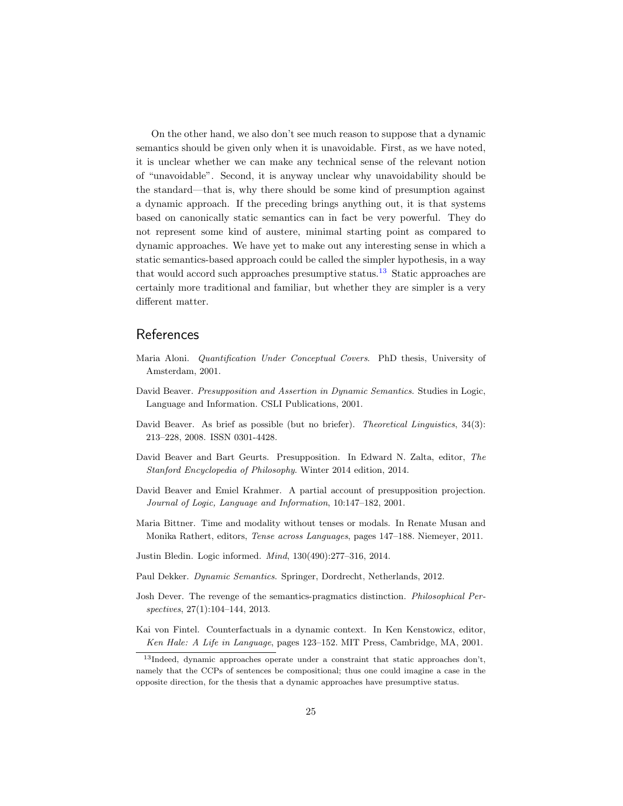On the other hand, we also don't see much reason to suppose that a dynamic semantics should be given only when it is unavoidable. First, as we have noted, it is unclear whether we can make any technical sense of the relevant notion of "unavoidable". Second, it is anyway unclear why unavoidability should be the standard—that is, why there should be some kind of presumption against a dynamic approach. If the preceding brings anything out, it is that systems based on canonically static semantics can in fact be very powerful. They do not represent some kind of austere, minimal starting point as compared to dynamic approaches. We have yet to make out any interesting sense in which a static semantics-based approach could be called the simpler hypothesis, in a way that would accord such approaches presumptive status.<sup>[13](#page-24-10)</sup> Static approaches are certainly more traditional and familiar, but whether they are simpler is a very different matter.

## References

- <span id="page-24-4"></span>Maria Aloni. Quantification Under Conceptual Covers. PhD thesis, University of Amsterdam, 2001.
- <span id="page-24-0"></span>David Beaver. Presupposition and Assertion in Dynamic Semantics. Studies in Logic, Language and Information. CSLI Publications, 2001.
- <span id="page-24-1"></span>David Beaver. As brief as possible (but no briefer). Theoretical Linguistics, 34(3): 213–228, 2008. ISSN 0301-4428.
- <span id="page-24-2"></span>David Beaver and Bart Geurts. Presupposition. In Edward N. Zalta, editor, The Stanford Encyclopedia of Philosophy. Winter 2014 edition, 2014.
- <span id="page-24-9"></span>David Beaver and Emiel Krahmer. A partial account of presupposition projection. Journal of Logic, Language and Information, 10:147–182, 2001.
- <span id="page-24-7"></span>Maria Bittner. Time and modality without tenses or modals. In Renate Musan and Monika Rathert, editors, Tense across Languages, pages 147–188. Niemeyer, 2011.
- <span id="page-24-5"></span>Justin Bledin. Logic informed. Mind, 130(490):277–316, 2014.
- <span id="page-24-8"></span>Paul Dekker. Dynamic Semantics. Springer, Dordrecht, Netherlands, 2012.
- <span id="page-24-6"></span>Josh Dever. The revenge of the semantics-pragmatics distinction. Philosophical Perspectives, 27(1):104–144, 2013.
- <span id="page-24-3"></span>Kai von Fintel. Counterfactuals in a dynamic context. In Ken Kenstowicz, editor, Ken Hale: A Life in Language, pages 123–152. MIT Press, Cambridge, MA, 2001.

<span id="page-24-10"></span><sup>13</sup>Indeed, dynamic approaches operate under a constraint that static approaches don't, namely that the CCPs of sentences be compositional; thus one could imagine a case in the opposite direction, for the thesis that a dynamic approaches have presumptive status.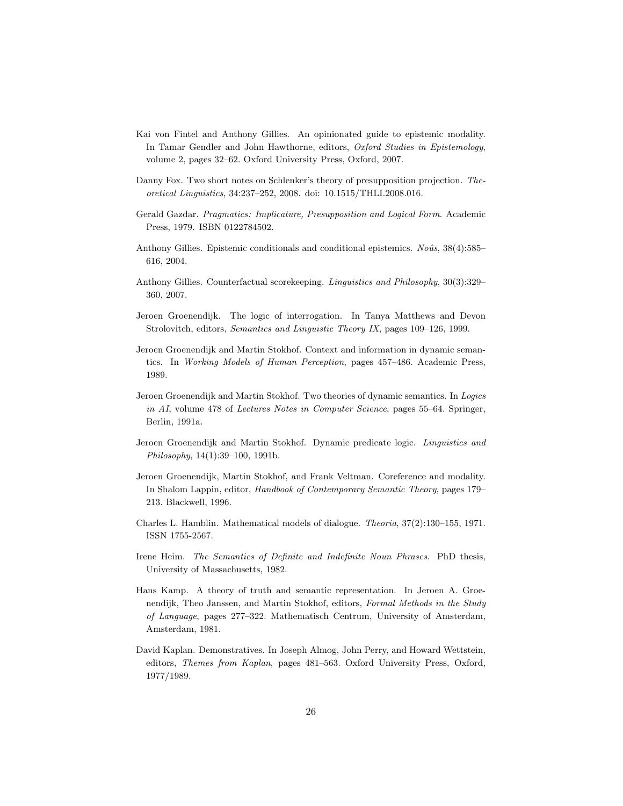- <span id="page-25-6"></span>Kai von Fintel and Anthony Gillies. An opinionated guide to epistemic modality. In Tamar Gendler and John Hawthorne, editors, Oxford Studies in Epistemology, volume 2, pages 32–62. Oxford University Press, Oxford, 2007.
- <span id="page-25-12"></span>Danny Fox. Two short notes on Schlenker's theory of presupposition projection. Theoretical Linguistics, 34:237–252, 2008. doi: 10.1515/THLI.2008.016.
- <span id="page-25-3"></span>Gerald Gazdar. Pragmatics: Implicature, Presupposition and Logical Form. Academic Press, 1979. ISBN 0122784502.
- <span id="page-25-5"></span>Anthony Gillies. Epistemic conditionals and conditional epistemics.  $No\hat{u}$ ,  $38(4):585-$ 616, 2004.
- <span id="page-25-4"></span>Anthony Gillies. Counterfactual scorekeeping. Linguistics and Philosophy, 30(3):329– 360, 2007.
- <span id="page-25-7"></span>Jeroen Groenendijk. The logic of interrogation. In Tanya Matthews and Devon Strolovitch, editors, Semantics and Linguistic Theory IX, pages 109–126, 1999.
- <span id="page-25-11"></span>Jeroen Groenendijk and Martin Stokhof. Context and information in dynamic semantics. In Working Models of Human Perception, pages 457–486. Academic Press, 1989.
- <span id="page-25-10"></span>Jeroen Groenendijk and Martin Stokhof. Two theories of dynamic semantics. In Logics in AI, volume 478 of Lectures Notes in Computer Science, pages 55–64. Springer, Berlin, 1991a.
- <span id="page-25-13"></span>Jeroen Groenendijk and Martin Stokhof. Dynamic predicate logic. Linguistics and Philosophy, 14(1):39–100, 1991b.
- <span id="page-25-8"></span>Jeroen Groenendijk, Martin Stokhof, and Frank Veltman. Coreference and modality. In Shalom Lappin, editor, Handbook of Contemporary Semantic Theory, pages 179– 213. Blackwell, 1996.
- <span id="page-25-2"></span>Charles L. Hamblin. Mathematical models of dialogue. Theoria, 37(2):130–155, 1971. ISSN 1755-2567.
- <span id="page-25-1"></span>Irene Heim. The Semantics of Definite and Indefinite Noun Phrases. PhD thesis, University of Massachusetts, 1982.
- <span id="page-25-0"></span>Hans Kamp. A theory of truth and semantic representation. In Jeroen A. Groenendijk, Theo Janssen, and Martin Stokhof, editors, Formal Methods in the Study of Language, pages 277–322. Mathematisch Centrum, University of Amsterdam, Amsterdam, 1981.
- <span id="page-25-9"></span>David Kaplan. Demonstratives. In Joseph Almog, John Perry, and Howard Wettstein, editors, Themes from Kaplan, pages 481–563. Oxford University Press, Oxford, 1977/1989.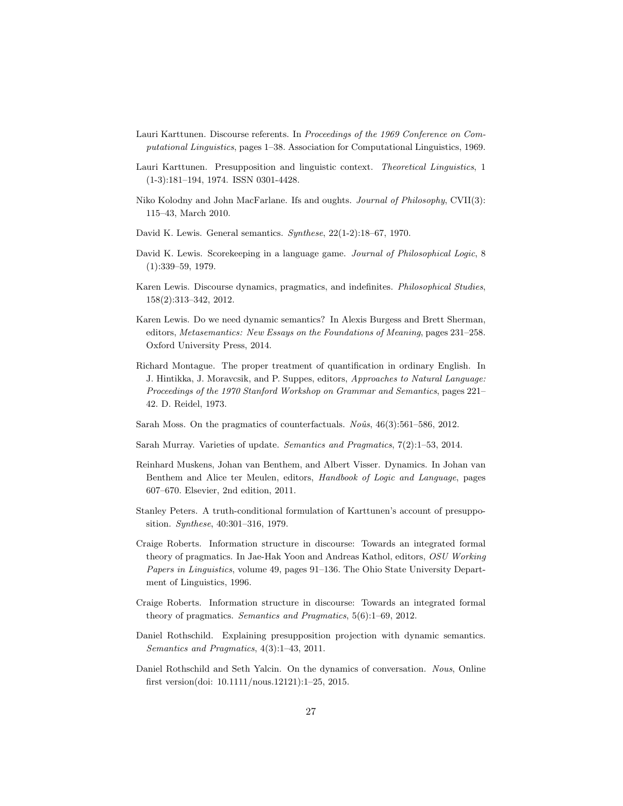- <span id="page-26-0"></span>Lauri Karttunen. Discourse referents. In Proceedings of the 1969 Conference on Computational Linguistics, pages 1–38. Association for Computational Linguistics, 1969.
- <span id="page-26-1"></span>Lauri Karttunen. Presupposition and linguistic context. Theoretical Linguistics, 1 (1-3):181–194, 1974. ISSN 0301-4428.
- <span id="page-26-5"></span>Niko Kolodny and John MacFarlane. Ifs and oughts. Journal of Philosophy, CVII(3): 115–43, March 2010.
- <span id="page-26-12"></span>David K. Lewis. General semantics. Synthese, 22(1-2):18–67, 1970.
- <span id="page-26-2"></span>David K. Lewis. Scorekeeping in a language game. Journal of Philosophical Logic, 8 (1):339–59, 1979.
- <span id="page-26-6"></span>Karen Lewis. Discourse dynamics, pragmatics, and indefinites. Philosophical Studies, 158(2):313–342, 2012.
- <span id="page-26-7"></span>Karen Lewis. Do we need dynamic semantics? In Alexis Burgess and Brett Sherman, editors, Metasemantics: New Essays on the Foundations of Meaning, pages 231–258. Oxford University Press, 2014.
- <span id="page-26-13"></span>Richard Montague. The proper treatment of quantification in ordinary English. In J. Hintikka, J. Moravcsik, and P. Suppes, editors, Approaches to Natural Language: Proceedings of the 1970 Stanford Workshop on Grammar and Semantics, pages 221– 42. D. Reidel, 1973.
- <span id="page-26-4"></span>Sarah Moss. On the pragmatics of counterfactuals.  $No\hat{u}s$ , 46(3):561–586, 2012.
- <span id="page-26-11"></span>Sarah Murray. Varieties of update. Semantics and Pragmatics, 7(2):1–53, 2014.
- <span id="page-26-14"></span>Reinhard Muskens, Johan van Benthem, and Albert Visser. Dynamics. In Johan van Benthem and Alice ter Meulen, editors, Handbook of Logic and Language, pages 607–670. Elsevier, 2nd edition, 2011.
- <span id="page-26-15"></span>Stanley Peters. A truth-conditional formulation of Karttunen's account of presupposition. Synthese, 40:301–316, 1979.
- <span id="page-26-9"></span>Craige Roberts. Information structure in discourse: Towards an integrated formal theory of pragmatics. In Jae-Hak Yoon and Andreas Kathol, editors, OSU Working Papers in Linguistics, volume 49, pages 91–136. The Ohio State University Department of Linguistics, 1996.
- <span id="page-26-10"></span>Craige Roberts. Information structure in discourse: Towards an integrated formal theory of pragmatics. Semantics and Pragmatics, 5(6):1–69, 2012.
- <span id="page-26-3"></span>Daniel Rothschild. Explaining presupposition projection with dynamic semantics. Semantics and Pragmatics, 4(3):1–43, 2011.
- <span id="page-26-8"></span>Daniel Rothschild and Seth Yalcin. On the dynamics of conversation. Nous, Online first version(doi: 10.1111/nous.12121):1–25, 2015.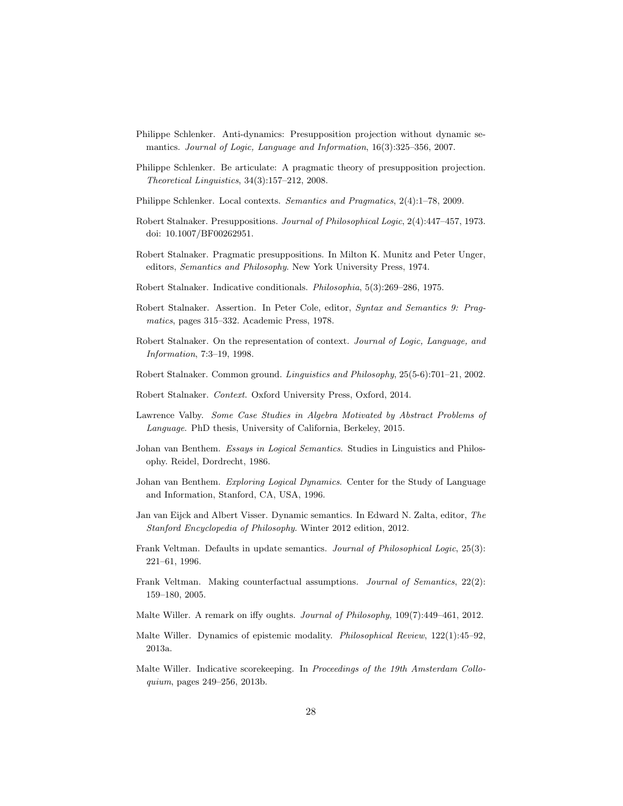- <span id="page-27-2"></span>Philippe Schlenker. Anti-dynamics: Presupposition projection without dynamic semantics. Journal of Logic, Language and Information, 16(3):325–356, 2007.
- <span id="page-27-3"></span>Philippe Schlenker. Be articulate: A pragmatic theory of presupposition projection. Theoretical Linguistics, 34(3):157–212, 2008.
- <span id="page-27-4"></span>Philippe Schlenker. Local contexts. Semantics and Pragmatics, 2(4):1–78, 2009.
- <span id="page-27-17"></span>Robert Stalnaker. Presuppositions. Journal of Philosophical Logic, 2(4):447–457, 1973. doi: 10.1007/BF00262951.
- <span id="page-27-0"></span>Robert Stalnaker. Pragmatic presuppositions. In Milton K. Munitz and Peter Unger, editors, Semantics and Philosophy. New York University Press, 1974.
- <span id="page-27-18"></span>Robert Stalnaker. Indicative conditionals. Philosophia, 5(3):269–286, 1975.
- <span id="page-27-1"></span>Robert Stalnaker. Assertion. In Peter Cole, editor, Syntax and Semantics 9: Pragmatics, pages 315–332. Academic Press, 1978.
- <span id="page-27-12"></span>Robert Stalnaker. On the representation of context. Journal of Logic, Language, and Information, 7:3–19, 1998.
- <span id="page-27-11"></span>Robert Stalnaker. Common ground. Linguistics and Philosophy, 25(5-6):701–21, 2002.
- <span id="page-27-5"></span>Robert Stalnaker. Context. Oxford University Press, Oxford, 2014.
- <span id="page-27-16"></span>Lawrence Valby. Some Case Studies in Algebra Motivated by Abstract Problems of Language. PhD thesis, University of California, Berkeley, 2015.
- <span id="page-27-14"></span>Johan van Benthem. Essays in Logical Semantics. Studies in Linguistics and Philosophy. Reidel, Dordrecht, 1986.
- <span id="page-27-13"></span>Johan van Benthem. Exploring Logical Dynamics. Center for the Study of Language and Information, Stanford, CA, USA, 1996.
- <span id="page-27-15"></span>Jan van Eijck and Albert Visser. Dynamic semantics. In Edward N. Zalta, editor, The Stanford Encyclopedia of Philosophy. Winter 2012 edition, 2012.
- <span id="page-27-7"></span>Frank Veltman. Defaults in update semantics. Journal of Philosophical Logic, 25(3): 221–61, 1996.
- <span id="page-27-6"></span>Frank Veltman. Making counterfactual assumptions. Journal of Semantics, 22(2): 159–180, 2005.
- <span id="page-27-8"></span>Malte Willer. A remark on iffy oughts. Journal of Philosophy, 109(7):449–461, 2012.
- <span id="page-27-9"></span>Malte Willer. Dynamics of epistemic modality. Philosophical Review, 122(1):45–92, 2013a.
- <span id="page-27-10"></span>Malte Willer. Indicative scorekeeping. In Proceedings of the 19th Amsterdam Colloquium, pages 249–256, 2013b.